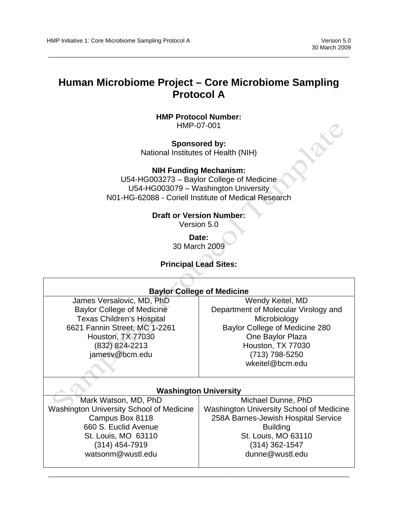**NOKE** 

#### **Human Microbiome Project – Core Microbiome Sampling Protocol A**

 $\overline{a}$  , and the state of the state of the state of the state of the state of the state of the state of the state of the state of the state of the state of the state of the state of the state of the state of the state o

**HMP Protocol Number:** HMP-07-001

**Sponsored by:**  National Institutes of Health (NIH)

**NIH Funding Mechanism:** U54-HG003273 – Baylor College of Medicine U54-HG003079 – Washington University

N01-HG-62088 - Coriell Institute of Medical Research

#### **Draft or Version Number:**

Version 5.0

**Date:**  30 March 2009

**Principal Lead Sites:**

| <b>Baylor College of Medicine</b>               |                                          |  |  |  |
|-------------------------------------------------|------------------------------------------|--|--|--|
| James Versalovic, MD, PhD                       | Wendy Keitel, MD                         |  |  |  |
| <b>Baylor College of Medicine</b>               | Department of Molecular Virology and     |  |  |  |
| <b>Texas Children's Hospital</b>                | Microbiology                             |  |  |  |
| 6621 Fannin Street, MC 1-2261                   | Baylor College of Medicine 280           |  |  |  |
| Houston, TX 77030                               | One Baylor Plaza                         |  |  |  |
| (832) 824-2213                                  | Houston, TX 77030                        |  |  |  |
| jamesv@bcm.edu                                  | (713) 798-5250                           |  |  |  |
|                                                 | wkeitel@bcm.edu                          |  |  |  |
|                                                 |                                          |  |  |  |
|                                                 |                                          |  |  |  |
|                                                 | <b>Washington University</b>             |  |  |  |
| Mark Watson, MD, PhD                            | Michael Dunne, PhD                       |  |  |  |
| <b>Washington University School of Medicine</b> | Washington University School of Medicine |  |  |  |
| Campus Box 8118                                 | 258A Barnes-Jewish Hospital Service      |  |  |  |
| 660 S. Euclid Avenue                            | <b>Building</b>                          |  |  |  |
| St. Louis, MO 63110                             | St. Louis, MO 63110                      |  |  |  |
| (314) 454-7919                                  | (314) 362-1547                           |  |  |  |
| watsonm@wustl.edu                               | dunne@wustl.edu                          |  |  |  |
|                                                 |                                          |  |  |  |
|                                                 |                                          |  |  |  |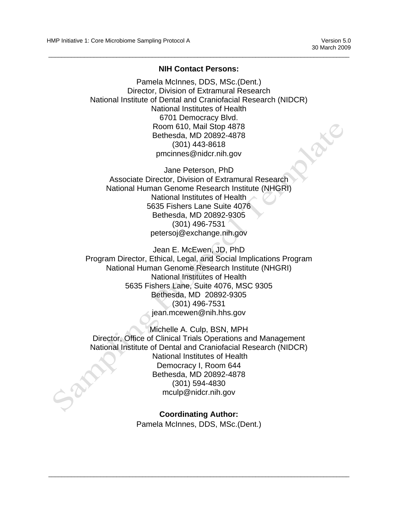#### **NIH Contact Persons:**

 $\overline{a}$  , and the state of the state of the state of the state of the state of the state of the state of the state of the state of the state of the state of the state of the state of the state of the state of the state o

Pamela McInnes, DDS, MSc.(Dent.) Director, Division of Extramural Research National Institute of Dental and Craniofacial Research (NIDCR) National Institutes of Health 6701 Democracy Blvd. Room 610, Mail Stop 4878 Bethesda, MD 20892-4878 (301) 443-8618 pmcinnes@nidcr.nih.gov

Jane Peterson, PhD Associate Director, Division of Extramural Research National Human Genome Research Institute (NHGRI) National Institutes of Health 5635 Fishers Lane Suite 4076 Bethesda, MD 20892-9305 (301) 496-7531 petersoj@exchange.nih.gov

Jean E. McEwen, JD, PhD Program Director, Ethical, Legal, and Social Implications Program National Human Genome Research Institute (NHGRI) National Institutes of Health 5635 Fishers Lane, Suite 4076, MSC 9305 Bethesda, MD 20892-9305 (301) 496-7531 jean.mcewen@nih.hhs.gov

Michelle A. Culp, BSN, MPH Director, Office of Clinical Trials Operations and Management National Institute of Dental and Craniofacial Research (NIDCR) National Institutes of Health Democracy I, Room 644 Bethesda, MD 20892-4878 (301) 594-4830 mculp@nidcr.nih.gov

> **Coordinating Author:**  Pamela McInnes, DDS, MSc.(Dent.)

 $\overline{\phantom{a}}$  , and the contribution of the contribution of the contribution of the contribution of the contribution of the contribution of the contribution of the contribution of the contribution of the contribution of the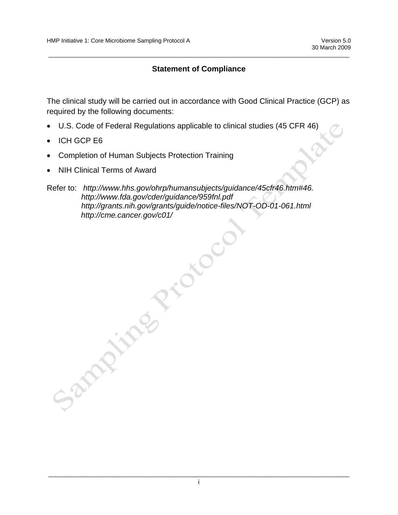#### **Statement of Compliance**

 $\overline{a}$  , and the state of the state of the state of the state of the state of the state of the state of the state of the state of the state of the state of the state of the state of the state of the state of the state o

The clinical study will be carried out in accordance with Good Clinical Practice (GCP) as required by the following documents:

- U.S. Code of Federal Regulations applicable to clinical studies (45 CFR 46)
- **ICH GCP E6**
- Completion of Human Subjects Protection Training
- NIH Clinical Terms of Award

# Refer to: *http://www.hhs.gov/ohrp/humansubjects/guidance/45cfr46.htm#46. http://www.fda.gov/cder/guidance/959fnl.pdf http://grants.nih.gov/grants/guide/notice-files/NOT-OD-01-061.html*  http://cme.cancer.gov/c01/<br>
2006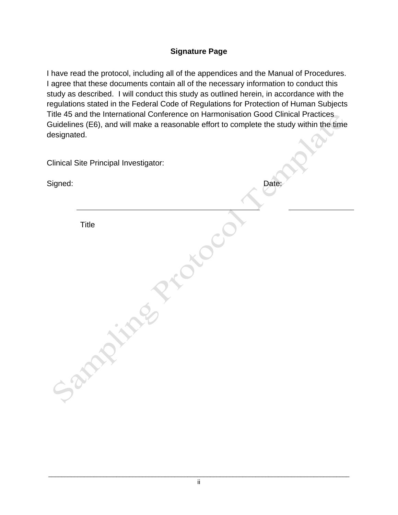#### **Signature Page**

I have read the protocol, including all of the appendices and the Manual of Procedures. I agree that these documents contain all of the necessary information to conduct this study as described. I will conduct this study as outlined herein, in accordance with the regulations stated in the Federal Code of Regulations for Protection of Human Subjects Title 45 and the International Conference on Harmonisation Good Clinical Practices Guidelines (E6), and will make a reasonable effort to complete the study within the time designated.

|         | <b>Clinical Site Principal Investigator:</b> |       |
|---------|----------------------------------------------|-------|
| Signed: |                                              | Date: |
|         | <b>Title</b>                                 |       |
|         |                                              |       |
|         |                                              |       |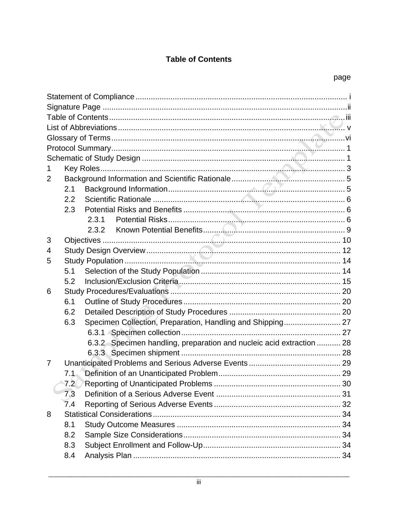#### **Table of Contents**

| $\overline{2}$ |              |                                                                      |  |
|----------------|--------------|----------------------------------------------------------------------|--|
|                | 2.1          |                                                                      |  |
|                | 2.2          |                                                                      |  |
|                | 2.3          |                                                                      |  |
|                |              | 2.3.1                                                                |  |
|                |              | 2.3.2                                                                |  |
| 3              |              |                                                                      |  |
| 4              |              |                                                                      |  |
| 5              |              |                                                                      |  |
|                | 5.1          |                                                                      |  |
|                | 5.2          |                                                                      |  |
| 6              |              |                                                                      |  |
|                | 6.1          |                                                                      |  |
|                | 6.2          |                                                                      |  |
|                | 6.3          | Specimen Collection, Preparation, Handling and Shipping 27           |  |
|                |              |                                                                      |  |
|                |              | 6.3.2 Specimen handling, preparation and nucleic acid extraction  28 |  |
|                |              |                                                                      |  |
| 7              |              |                                                                      |  |
|                | 7.1          |                                                                      |  |
|                | $7.2\degree$ |                                                                      |  |
|                | 7.3          |                                                                      |  |
|                | 7.4          |                                                                      |  |
| 8              |              |                                                                      |  |
|                | 8.1          |                                                                      |  |
|                | 8.2          |                                                                      |  |
|                | 8.3          |                                                                      |  |
|                | 8.4          |                                                                      |  |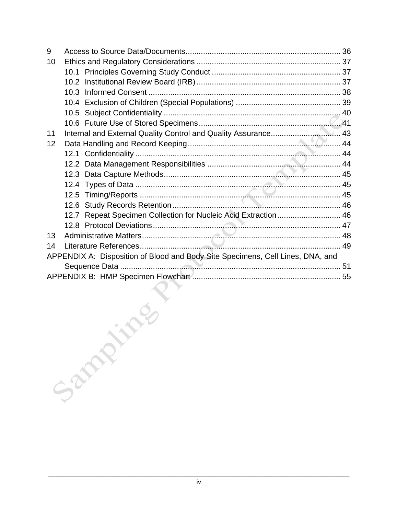| 9  |                                                                                |  |
|----|--------------------------------------------------------------------------------|--|
| 10 |                                                                                |  |
|    |                                                                                |  |
|    |                                                                                |  |
|    |                                                                                |  |
|    |                                                                                |  |
|    |                                                                                |  |
|    |                                                                                |  |
| 11 |                                                                                |  |
| 12 |                                                                                |  |
|    |                                                                                |  |
|    |                                                                                |  |
|    |                                                                                |  |
|    | 12.4                                                                           |  |
|    | 12.5                                                                           |  |
|    | 12.6                                                                           |  |
|    | 12.7 Repeat Specimen Collection for Nucleic Acid Extraction 46                 |  |
|    |                                                                                |  |
| 13 |                                                                                |  |
| 14 |                                                                                |  |
|    | APPENDIX A: Disposition of Blood and Body Site Specimens, Cell Lines, DNA, and |  |
|    |                                                                                |  |
|    |                                                                                |  |
|    |                                                                                |  |
|    |                                                                                |  |
|    |                                                                                |  |
|    |                                                                                |  |
|    |                                                                                |  |
|    |                                                                                |  |
|    |                                                                                |  |
|    |                                                                                |  |
|    |                                                                                |  |
|    | Sand                                                                           |  |
|    |                                                                                |  |
|    |                                                                                |  |
|    |                                                                                |  |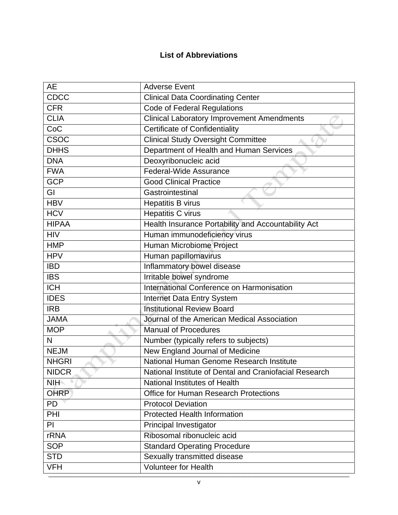#### **List of Abbreviations**

| <b>CDCC</b><br><b>Clinical Data Coordinating Center</b><br><b>CFR</b><br><b>Code of Federal Regulations</b><br><b>CLIA</b><br><b>Clinical Laboratory Improvement Amendments</b><br><b>Certificate of Confidentiality</b><br>CoC<br><b>CSOC</b><br><b>Clinical Study Oversight Committee</b><br>Department of Health and Human Services<br><b>DHHS</b><br>Deoxyribonucleic acid<br><b>DNA</b><br>Federal-Wide Assurance<br><b>FWA</b><br><b>GCP</b><br><b>Good Clinical Practice</b><br>GI<br>Gastrointestinal<br><b>HBV</b><br>Hepatitis B virus<br><b>HCV</b><br>Hepatitis C virus<br><b>HIPAA</b><br>Health Insurance Portability and Accountability Act<br>Human immunodeficiency virus<br><b>HIV</b><br>Human Microbiome Project<br><b>HMP</b><br><b>HPV</b><br>Human papillomavirus<br>Inflammatory bowel disease<br><b>IBD</b><br>Irritable bowel syndrome<br><b>IBS</b><br>International Conference on Harmonisation<br><b>ICH</b><br><b>IDES</b><br>Internet Data Entry System<br><b>Institutional Review Board</b><br><b>IRB</b><br><b>JAMA</b><br>Journal of the American Medical Association<br><b>MOP</b><br><b>Manual of Procedures</b><br>N<br>Number (typically refers to subjects)<br>New England Journal of Medicine<br><b>NEJM</b><br>National Human Genome Research Institute<br><b>NHGRI</b><br><b>NIDCR</b><br>National Institute of Dental and Craniofacial Research<br>National Institutes of Health<br><b>NIH</b><br><b>OHRP</b><br><b>Office for Human Research Protections</b><br><b>PD</b><br><b>Protocol Deviation</b><br>PHI<br><b>Protected Health Information</b><br>PI<br>Principal Investigator<br>Ribosomal ribonucleic acid<br><b>rRNA</b> | AE | <b>Adverse Event</b> |
|-------------------------------------------------------------------------------------------------------------------------------------------------------------------------------------------------------------------------------------------------------------------------------------------------------------------------------------------------------------------------------------------------------------------------------------------------------------------------------------------------------------------------------------------------------------------------------------------------------------------------------------------------------------------------------------------------------------------------------------------------------------------------------------------------------------------------------------------------------------------------------------------------------------------------------------------------------------------------------------------------------------------------------------------------------------------------------------------------------------------------------------------------------------------------------------------------------------------------------------------------------------------------------------------------------------------------------------------------------------------------------------------------------------------------------------------------------------------------------------------------------------------------------------------------------------------------------------------------------------------------------------------------------------------------------|----|----------------------|
|                                                                                                                                                                                                                                                                                                                                                                                                                                                                                                                                                                                                                                                                                                                                                                                                                                                                                                                                                                                                                                                                                                                                                                                                                                                                                                                                                                                                                                                                                                                                                                                                                                                                               |    |                      |
|                                                                                                                                                                                                                                                                                                                                                                                                                                                                                                                                                                                                                                                                                                                                                                                                                                                                                                                                                                                                                                                                                                                                                                                                                                                                                                                                                                                                                                                                                                                                                                                                                                                                               |    |                      |
|                                                                                                                                                                                                                                                                                                                                                                                                                                                                                                                                                                                                                                                                                                                                                                                                                                                                                                                                                                                                                                                                                                                                                                                                                                                                                                                                                                                                                                                                                                                                                                                                                                                                               |    |                      |
|                                                                                                                                                                                                                                                                                                                                                                                                                                                                                                                                                                                                                                                                                                                                                                                                                                                                                                                                                                                                                                                                                                                                                                                                                                                                                                                                                                                                                                                                                                                                                                                                                                                                               |    |                      |
|                                                                                                                                                                                                                                                                                                                                                                                                                                                                                                                                                                                                                                                                                                                                                                                                                                                                                                                                                                                                                                                                                                                                                                                                                                                                                                                                                                                                                                                                                                                                                                                                                                                                               |    |                      |
|                                                                                                                                                                                                                                                                                                                                                                                                                                                                                                                                                                                                                                                                                                                                                                                                                                                                                                                                                                                                                                                                                                                                                                                                                                                                                                                                                                                                                                                                                                                                                                                                                                                                               |    |                      |
|                                                                                                                                                                                                                                                                                                                                                                                                                                                                                                                                                                                                                                                                                                                                                                                                                                                                                                                                                                                                                                                                                                                                                                                                                                                                                                                                                                                                                                                                                                                                                                                                                                                                               |    |                      |
|                                                                                                                                                                                                                                                                                                                                                                                                                                                                                                                                                                                                                                                                                                                                                                                                                                                                                                                                                                                                                                                                                                                                                                                                                                                                                                                                                                                                                                                                                                                                                                                                                                                                               |    |                      |
|                                                                                                                                                                                                                                                                                                                                                                                                                                                                                                                                                                                                                                                                                                                                                                                                                                                                                                                                                                                                                                                                                                                                                                                                                                                                                                                                                                                                                                                                                                                                                                                                                                                                               |    |                      |
|                                                                                                                                                                                                                                                                                                                                                                                                                                                                                                                                                                                                                                                                                                                                                                                                                                                                                                                                                                                                                                                                                                                                                                                                                                                                                                                                                                                                                                                                                                                                                                                                                                                                               |    |                      |
|                                                                                                                                                                                                                                                                                                                                                                                                                                                                                                                                                                                                                                                                                                                                                                                                                                                                                                                                                                                                                                                                                                                                                                                                                                                                                                                                                                                                                                                                                                                                                                                                                                                                               |    |                      |
|                                                                                                                                                                                                                                                                                                                                                                                                                                                                                                                                                                                                                                                                                                                                                                                                                                                                                                                                                                                                                                                                                                                                                                                                                                                                                                                                                                                                                                                                                                                                                                                                                                                                               |    |                      |
|                                                                                                                                                                                                                                                                                                                                                                                                                                                                                                                                                                                                                                                                                                                                                                                                                                                                                                                                                                                                                                                                                                                                                                                                                                                                                                                                                                                                                                                                                                                                                                                                                                                                               |    |                      |
|                                                                                                                                                                                                                                                                                                                                                                                                                                                                                                                                                                                                                                                                                                                                                                                                                                                                                                                                                                                                                                                                                                                                                                                                                                                                                                                                                                                                                                                                                                                                                                                                                                                                               |    |                      |
|                                                                                                                                                                                                                                                                                                                                                                                                                                                                                                                                                                                                                                                                                                                                                                                                                                                                                                                                                                                                                                                                                                                                                                                                                                                                                                                                                                                                                                                                                                                                                                                                                                                                               |    |                      |
|                                                                                                                                                                                                                                                                                                                                                                                                                                                                                                                                                                                                                                                                                                                                                                                                                                                                                                                                                                                                                                                                                                                                                                                                                                                                                                                                                                                                                                                                                                                                                                                                                                                                               |    |                      |
|                                                                                                                                                                                                                                                                                                                                                                                                                                                                                                                                                                                                                                                                                                                                                                                                                                                                                                                                                                                                                                                                                                                                                                                                                                                                                                                                                                                                                                                                                                                                                                                                                                                                               |    |                      |
|                                                                                                                                                                                                                                                                                                                                                                                                                                                                                                                                                                                                                                                                                                                                                                                                                                                                                                                                                                                                                                                                                                                                                                                                                                                                                                                                                                                                                                                                                                                                                                                                                                                                               |    |                      |
|                                                                                                                                                                                                                                                                                                                                                                                                                                                                                                                                                                                                                                                                                                                                                                                                                                                                                                                                                                                                                                                                                                                                                                                                                                                                                                                                                                                                                                                                                                                                                                                                                                                                               |    |                      |
|                                                                                                                                                                                                                                                                                                                                                                                                                                                                                                                                                                                                                                                                                                                                                                                                                                                                                                                                                                                                                                                                                                                                                                                                                                                                                                                                                                                                                                                                                                                                                                                                                                                                               |    |                      |
|                                                                                                                                                                                                                                                                                                                                                                                                                                                                                                                                                                                                                                                                                                                                                                                                                                                                                                                                                                                                                                                                                                                                                                                                                                                                                                                                                                                                                                                                                                                                                                                                                                                                               |    |                      |
|                                                                                                                                                                                                                                                                                                                                                                                                                                                                                                                                                                                                                                                                                                                                                                                                                                                                                                                                                                                                                                                                                                                                                                                                                                                                                                                                                                                                                                                                                                                                                                                                                                                                               |    |                      |
|                                                                                                                                                                                                                                                                                                                                                                                                                                                                                                                                                                                                                                                                                                                                                                                                                                                                                                                                                                                                                                                                                                                                                                                                                                                                                                                                                                                                                                                                                                                                                                                                                                                                               |    |                      |
|                                                                                                                                                                                                                                                                                                                                                                                                                                                                                                                                                                                                                                                                                                                                                                                                                                                                                                                                                                                                                                                                                                                                                                                                                                                                                                                                                                                                                                                                                                                                                                                                                                                                               |    |                      |
|                                                                                                                                                                                                                                                                                                                                                                                                                                                                                                                                                                                                                                                                                                                                                                                                                                                                                                                                                                                                                                                                                                                                                                                                                                                                                                                                                                                                                                                                                                                                                                                                                                                                               |    |                      |
|                                                                                                                                                                                                                                                                                                                                                                                                                                                                                                                                                                                                                                                                                                                                                                                                                                                                                                                                                                                                                                                                                                                                                                                                                                                                                                                                                                                                                                                                                                                                                                                                                                                                               |    |                      |
|                                                                                                                                                                                                                                                                                                                                                                                                                                                                                                                                                                                                                                                                                                                                                                                                                                                                                                                                                                                                                                                                                                                                                                                                                                                                                                                                                                                                                                                                                                                                                                                                                                                                               |    |                      |
|                                                                                                                                                                                                                                                                                                                                                                                                                                                                                                                                                                                                                                                                                                                                                                                                                                                                                                                                                                                                                                                                                                                                                                                                                                                                                                                                                                                                                                                                                                                                                                                                                                                                               |    |                      |
|                                                                                                                                                                                                                                                                                                                                                                                                                                                                                                                                                                                                                                                                                                                                                                                                                                                                                                                                                                                                                                                                                                                                                                                                                                                                                                                                                                                                                                                                                                                                                                                                                                                                               |    |                      |
|                                                                                                                                                                                                                                                                                                                                                                                                                                                                                                                                                                                                                                                                                                                                                                                                                                                                                                                                                                                                                                                                                                                                                                                                                                                                                                                                                                                                                                                                                                                                                                                                                                                                               |    |                      |
|                                                                                                                                                                                                                                                                                                                                                                                                                                                                                                                                                                                                                                                                                                                                                                                                                                                                                                                                                                                                                                                                                                                                                                                                                                                                                                                                                                                                                                                                                                                                                                                                                                                                               |    |                      |
|                                                                                                                                                                                                                                                                                                                                                                                                                                                                                                                                                                                                                                                                                                                                                                                                                                                                                                                                                                                                                                                                                                                                                                                                                                                                                                                                                                                                                                                                                                                                                                                                                                                                               |    |                      |
|                                                                                                                                                                                                                                                                                                                                                                                                                                                                                                                                                                                                                                                                                                                                                                                                                                                                                                                                                                                                                                                                                                                                                                                                                                                                                                                                                                                                                                                                                                                                                                                                                                                                               |    |                      |
| <b>SOP</b><br><b>Standard Operating Procedure</b>                                                                                                                                                                                                                                                                                                                                                                                                                                                                                                                                                                                                                                                                                                                                                                                                                                                                                                                                                                                                                                                                                                                                                                                                                                                                                                                                                                                                                                                                                                                                                                                                                             |    |                      |
| Sexually transmitted disease<br><b>STD</b>                                                                                                                                                                                                                                                                                                                                                                                                                                                                                                                                                                                                                                                                                                                                                                                                                                                                                                                                                                                                                                                                                                                                                                                                                                                                                                                                                                                                                                                                                                                                                                                                                                    |    |                      |
| <b>Volunteer for Health</b><br><b>VFH</b>                                                                                                                                                                                                                                                                                                                                                                                                                                                                                                                                                                                                                                                                                                                                                                                                                                                                                                                                                                                                                                                                                                                                                                                                                                                                                                                                                                                                                                                                                                                                                                                                                                     |    |                      |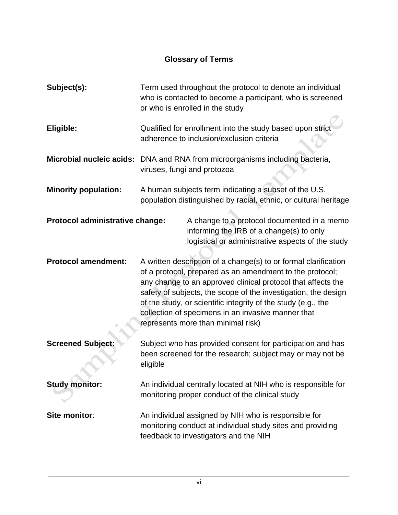#### **Glossary of Terms**

| Subject(s):                     | Term used throughout the protocol to denote an individual<br>who is contacted to become a participant, who is screened<br>or who is enrolled in the study   |                                                                                                                                                                                                                                                                                                                                                                                                                            |  |
|---------------------------------|-------------------------------------------------------------------------------------------------------------------------------------------------------------|----------------------------------------------------------------------------------------------------------------------------------------------------------------------------------------------------------------------------------------------------------------------------------------------------------------------------------------------------------------------------------------------------------------------------|--|
| Eligible:                       | Qualified for enrollment into the study based upon strict<br>adherence to inclusion/exclusion criteria                                                      |                                                                                                                                                                                                                                                                                                                                                                                                                            |  |
|                                 | Microbial nucleic acids: DNA and RNA from microorganisms including bacteria,<br>viruses, fungi and protozoa                                                 |                                                                                                                                                                                                                                                                                                                                                                                                                            |  |
| <b>Minority population:</b>     | A human subjects term indicating a subset of the U.S.<br>population distinguished by racial, ethnic, or cultural heritage                                   |                                                                                                                                                                                                                                                                                                                                                                                                                            |  |
| Protocol administrative change: |                                                                                                                                                             | A change to a protocol documented in a memo<br>informing the IRB of a change(s) to only<br>logistical or administrative aspects of the study                                                                                                                                                                                                                                                                               |  |
| <b>Protocol amendment:</b>      |                                                                                                                                                             | A written description of a change(s) to or formal clarification<br>of a protocol, prepared as an amendment to the protocol;<br>any change to an approved clinical protocol that affects the<br>safety of subjects, the scope of the investigation, the design<br>of the study, or scientific integrity of the study (e.g., the<br>collection of specimens in an invasive manner that<br>represents more than minimal risk) |  |
| <b>Screened Subject:</b>        | Subject who has provided consent for participation and has<br>been screened for the research; subject may or may not be<br>eligible                         |                                                                                                                                                                                                                                                                                                                                                                                                                            |  |
| <b>Study monitor:</b>           |                                                                                                                                                             | An individual centrally located at NIH who is responsible for<br>monitoring proper conduct of the clinical study                                                                                                                                                                                                                                                                                                           |  |
| Site monitor:                   | An individual assigned by NIH who is responsible for<br>monitoring conduct at individual study sites and providing<br>feedback to investigators and the NIH |                                                                                                                                                                                                                                                                                                                                                                                                                            |  |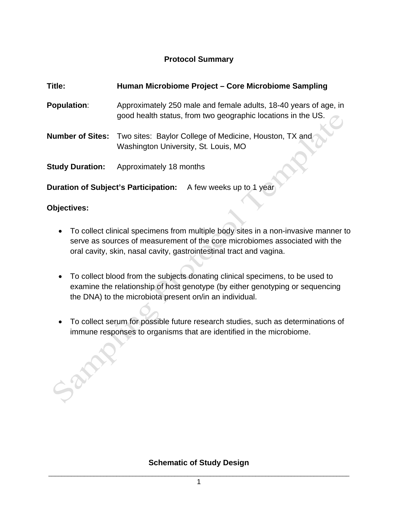#### **Protocol Summary**

| Title:                 | Human Microbiome Project - Core Microbiome Sampling                                                                              |
|------------------------|----------------------------------------------------------------------------------------------------------------------------------|
| <b>Population:</b>     | Approximately 250 male and female adults, 18-40 years of age, in<br>good health status, from two geographic locations in the US. |
|                        | Number of Sites: Two sites: Baylor College of Medicine, Houston, TX and<br>Washington University, St. Louis, MO                  |
| <b>Study Duration:</b> | Approximately 18 months                                                                                                          |

**Duration of Subject's Participation:** A few weeks up to 1 year

#### **Objectives:**

Sandy R

- To collect clinical specimens from multiple body sites in a non-invasive manner to serve as sources of measurement of the core microbiomes associated with the oral cavity, skin, nasal cavity, gastrointestinal tract and vagina.
- To collect blood from the subjects donating clinical specimens, to be used to examine the relationship of host genotype (by either genotyping or sequencing the DNA) to the microbiota present on/in an individual.
- To collect serum for possible future research studies, such as determinations of immune responses to organisms that are identified in the microbiome.

#### **Schematic of Study Design**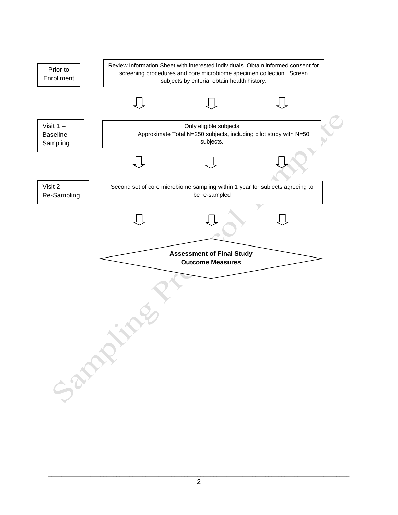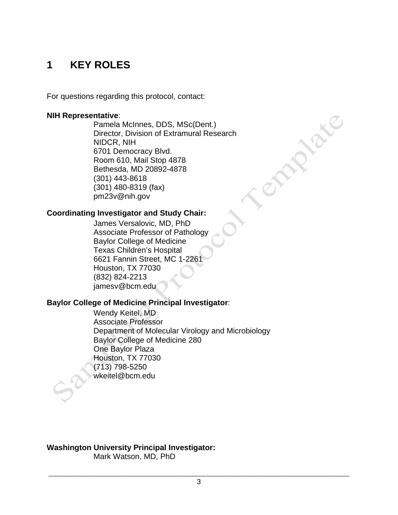# **1 KEY ROLES**

For questions regarding this protocol, contact:

#### **NIH Representative**:

Pamela McInnes, DDS, MSc(Dent.) Director, Division of Extramural Research NIDCR, NIH 6701 Democracy Blvd. Room 610, Mail Stop 4878 Bethesda, MD 20892-4878 (301) 443-8618 (301) 480-8319 (fax) pm23v@nih.gov

**SIRIVE** 

#### **Coordinating Investigator and Study Chair:**

James Versalovic, MD, PhD Associate Professor of Pathology Baylor College of Medicine Texas Children's Hospital 6621 Fannin Street, MC 1-2261 Houston, TX 77030 (832) 824-2213 jamesv@bcm.edu

#### **Baylor College of Medicine Principal Investigator**:

Wendy Keitel, MD Associate Professor Department of Molecular Virology and Microbiology Baylor College of Medicine 280 One Baylor Plaza Houston, TX 77030 (713) 798-5250 wkeitel@bcm.edu

**Washington University Principal Investigator:** 

Mark Watson, MD, PhD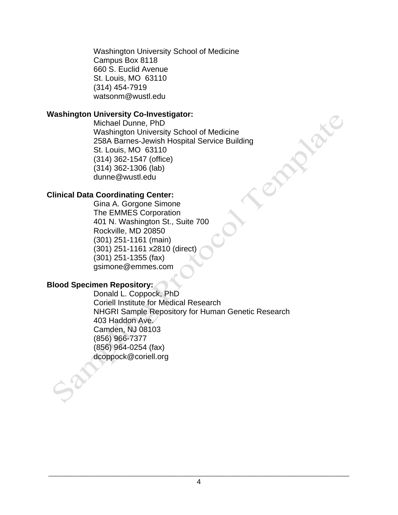Washington University School of Medicine Campus Box 8118 660 S. Euclid Avenue St. Louis, MO 63110 (314) 454-7919 watsonm@wustl.edu

#### **Washington University Co-Investigator:**

Michael Dunne, PhD Washington University School of Medicine 258A Barnes-Jewish Hospital Service Building St. Louis, MO 63110 (314) 362-1547 (office) (314) 362-1306 (lab) dunne@wustl.edu

#### **Clinical Data Coordinating Center:**

Gina A. Gorgone Simone The EMMES Corporation 401 N. Washington St., Suite 700 Rockville, MD 20850 (301) 251-1161 (main) (301) 251-1161 x2810 (direct) (301) 251-1355 (fax) gsimone@emmes.com

#### **Blood Specimen Repository:**

Donald L. Coppock, PhD Coriell Institute for Medical Research NHGRI Sample Repository for Human Genetic Research 403 Haddon Ave. Camden, NJ 08103 (856) 966-7377 (856) 964-0254 (fax) dcoppock@coriell.org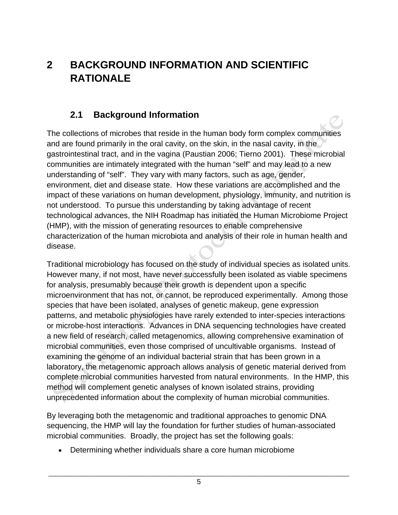# **2 BACKGROUND INFORMATION AND SCIENTIFIC RATIONALE**

#### **2.1 Background Information**

The collections of microbes that reside in the human body form complex communities and are found primarily in the oral cavity, on the skin, in the nasal cavity, in the gastrointestinal tract, and in the vagina (Paustian 2006; Tierno 2001). These microbial communities are intimately integrated with the human "self" and may lead to a new understanding of "self". They vary with many factors, such as age, gender, environment, diet and disease state. How these variations are accomplished and the impact of these variations on human development, physiology, immunity, and nutrition is not understood. To pursue this understanding by taking advantage of recent technological advances, the NIH Roadmap has initiated the Human Microbiome Project (HMP), with the mission of generating resources to enable comprehensive characterization of the human microbiota and analysis of their role in human health and disease.

Traditional microbiology has focused on the study of individual species as isolated units. However many, if not most, have never successfully been isolated as viable specimens for analysis, presumably because their growth is dependent upon a specific microenvironment that has not, or cannot, be reproduced experimentally. Among those species that have been isolated, analyses of genetic makeup, gene expression patterns, and metabolic physiologies have rarely extended to inter-species interactions or microbe-host interactions. Advances in DNA sequencing technologies have created a new field of research, called metagenomics, allowing comprehensive examination of microbial communities, even those comprised of uncultivable organisms. Instead of examining the genome of an individual bacterial strain that has been grown in a laboratory, the metagenomic approach allows analysis of genetic material derived from complete microbial communities harvested from natural environments. In the HMP, this method will complement genetic analyses of known isolated strains, providing unprecedented information about the complexity of human microbial communities.

By leveraging both the metagenomic and traditional approaches to genomic DNA sequencing, the HMP will lay the foundation for further studies of human-associated microbial communities. Broadly, the project has set the following goals:

• Determining whether individuals share a core human microbiome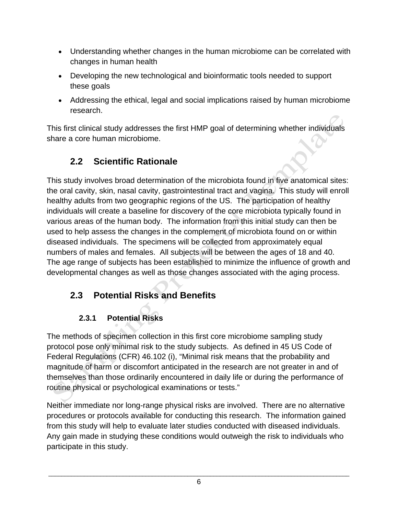- Understanding whether changes in the human microbiome can be correlated with changes in human health
- Developing the new technological and bioinformatic tools needed to support these goals
- Addressing the ethical, legal and social implications raised by human microbiome research.

This first clinical study addresses the first HMP goal of determining whether individuals share a core human microbiome.

#### **2.2 Scientific Rationale**

This study involves broad determination of the microbiota found in five anatomical sites: the oral cavity, skin, nasal cavity, gastrointestinal tract and vagina. This study will enroll healthy adults from two geographic regions of the US. The participation of healthy individuals will create a baseline for discovery of the core microbiota typically found in various areas of the human body. The information from this initial study can then be used to help assess the changes in the complement of microbiota found on or within diseased individuals. The specimens will be collected from approximately equal numbers of males and females. All subjects will be between the ages of 18 and 40. The age range of subjects has been established to minimize the influence of growth and developmental changes as well as those changes associated with the aging process.

## **2.3 Potential Risks and Benefits**

#### **2.3.1 Potential Risks**

The methods of specimen collection in this first core microbiome sampling study protocol pose only minimal risk to the study subjects. As defined in 45 US Code of Federal Regulations (CFR) 46.102 (i), "Minimal risk means that the probability and magnitude of harm or discomfort anticipated in the research are not greater in and of themselves than those ordinarily encountered in daily life or during the performance of routine physical or psychological examinations or tests."

Neither immediate nor long-range physical risks are involved. There are no alternative procedures or protocols available for conducting this research. The information gained from this study will help to evaluate later studies conducted with diseased individuals. Any gain made in studying these conditions would outweigh the risk to individuals who participate in this study.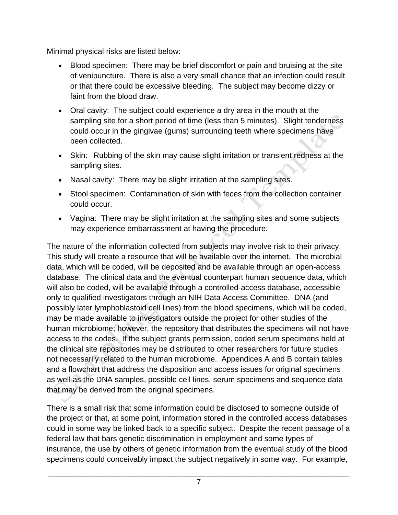Minimal physical risks are listed below:

- Blood specimen: There may be brief discomfort or pain and bruising at the site of venipuncture. There is also a very small chance that an infection could result or that there could be excessive bleeding. The subject may become dizzy or faint from the blood draw.
- Oral cavity: The subject could experience a dry area in the mouth at the sampling site for a short period of time (less than 5 minutes). Slight tenderness could occur in the gingivae (gums) surrounding teeth where specimens have been collected.
- Skin: Rubbing of the skin may cause slight irritation or transient redness at the sampling sites.
- Nasal cavity: There may be slight irritation at the sampling sites.
- Stool specimen: Contamination of skin with feces from the collection container could occur.
- Vagina: There may be slight irritation at the sampling sites and some subjects may experience embarrassment at having the procedure.

The nature of the information collected from subjects may involve risk to their privacy. This study will create a resource that will be available over the internet. The microbial data, which will be coded, will be deposited and be available through an open-access database. The clinical data and the eventual counterpart human sequence data, which will also be coded, will be available through a controlled-access database, accessible only to qualified investigators through an NIH Data Access Committee. DNA (and possibly later lymphoblastoid cell lines) from the blood specimens, which will be coded, may be made available to investigators outside the project for other studies of the human microbiome; however, the repository that distributes the specimens will not have access to the codes. If the subject grants permission, coded serum specimens held at the clinical site repositories may be distributed to other researchers for future studies not necessarily related to the human microbiome. Appendices A and B contain tables and a flowchart that address the disposition and access issues for original specimens as well as the DNA samples, possible cell lines, serum specimens and sequence data that may be derived from the original specimens.

There is a small risk that some information could be disclosed to someone outside of the project or that, at some point, information stored in the controlled access databases could in some way be linked back to a specific subject. Despite the recent passage of a federal law that bars genetic discrimination in employment and some types of insurance, the use by others of genetic information from the eventual study of the blood specimens could conceivably impact the subject negatively in some way. For example,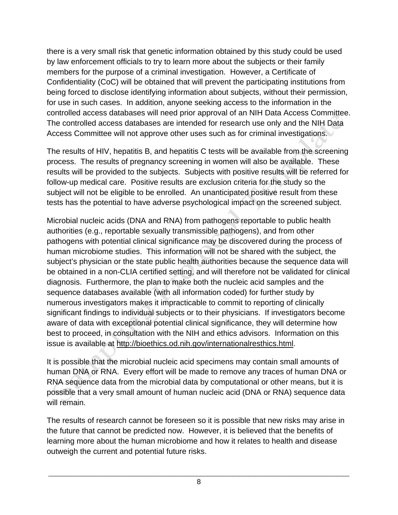there is a very small risk that genetic information obtained by this study could be used by law enforcement officials to try to learn more about the subjects or their family members for the purpose of a criminal investigation. However, a Certificate of Confidentiality (CoC) will be obtained that will prevent the participating institutions from being forced to disclose identifying information about subjects, without their permission, for use in such cases. In addition, anyone seeking access to the information in the controlled access databases will need prior approval of an NIH Data Access Committee. The controlled access databases are intended for research use only and the NIH Data Access Committee will not approve other uses such as for criminal investigations.

The results of HIV, hepatitis B, and hepatitis C tests will be available from the screening process. The results of pregnancy screening in women will also be available. These results will be provided to the subjects. Subjects with positive results will be referred for follow-up medical care. Positive results are exclusion criteria for the study so the subject will not be eligible to be enrolled. An unanticipated positive result from these tests has the potential to have adverse psychological impact on the screened subject.

Microbial nucleic acids (DNA and RNA) from pathogens reportable to public health authorities (e.g., reportable sexually transmissible pathogens), and from other pathogens with potential clinical significance may be discovered during the process of human microbiome studies. This information will not be shared with the subject, the subject's physician or the state public health authorities because the sequence data will be obtained in a non-CLIA certified setting, and will therefore not be validated for clinical diagnosis. Furthermore, the plan to make both the nucleic acid samples and the sequence databases available (with all information coded) for further study by numerous investigators makes it impracticable to commit to reporting of clinically significant findings to individual subjects or to their physicians. If investigators become aware of data with exceptional potential clinical significance, they will determine how best to proceed, in consultation with the NIH and ethics advisors. Information on this issue is available at http://bioethics.od.nih.gov/internationalresthics.html.

It is possible that the microbial nucleic acid specimens may contain small amounts of human DNA or RNA. Every effort will be made to remove any traces of human DNA or RNA sequence data from the microbial data by computational or other means, but it is possible that a very small amount of human nucleic acid (DNA or RNA) sequence data will remain.

The results of research cannot be foreseen so it is possible that new risks may arise in the future that cannot be predicted now. However, it is believed that the benefits of learning more about the human microbiome and how it relates to health and disease outweigh the current and potential future risks.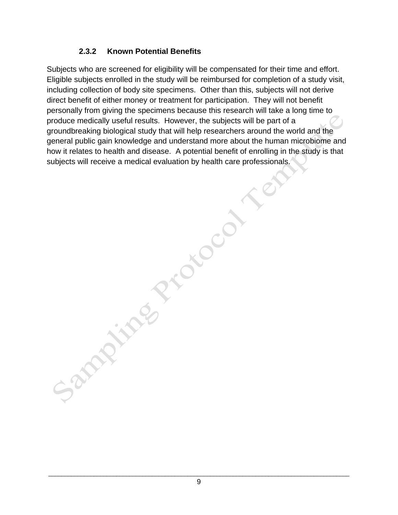#### **2.3.2 Known Potential Benefits**

Sampling Proces

Subjects who are screened for eligibility will be compensated for their time and effort. Eligible subjects enrolled in the study will be reimbursed for completion of a study visit, including collection of body site specimens. Other than this, subjects will not derive direct benefit of either money or treatment for participation. They will not benefit personally from giving the specimens because this research will take a long time to produce medically useful results. However, the subjects will be part of a groundbreaking biological study that will help researchers around the world and the general public gain knowledge and understand more about the human microbiome and how it relates to health and disease. A potential benefit of enrolling in the study is that subjects will receive a medical evaluation by health care professionals.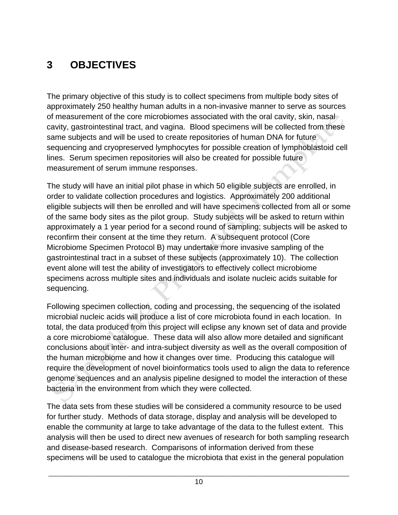# **3 OBJECTIVES**

The primary objective of this study is to collect specimens from multiple body sites of approximately 250 healthy human adults in a non-invasive manner to serve as sources of measurement of the core microbiomes associated with the oral cavity, skin, nasal cavity, gastrointestinal tract, and vagina. Blood specimens will be collected from these same subjects and will be used to create repositories of human DNA for future sequencing and cryopreserved lymphocytes for possible creation of lymphoblastoid cell lines. Serum specimen repositories will also be created for possible future measurement of serum immune responses.

The study will have an initial pilot phase in which 50 eligible subjects are enrolled, in order to validate collection procedures and logistics. Approximately 200 additional eligible subjects will then be enrolled and will have specimens collected from all or some of the same body sites as the pilot group. Study subjects will be asked to return within approximately a 1 year period for a second round of sampling; subjects will be asked to reconfirm their consent at the time they return. A subsequent protocol (Core Microbiome Specimen Protocol B) may undertake more invasive sampling of the gastrointestinal tract in a subset of these subjects (approximately 10). The collection event alone will test the ability of investigators to effectively collect microbiome specimens across multiple sites and individuals and isolate nucleic acids suitable for sequencing.

Following specimen collection, coding and processing, the sequencing of the isolated microbial nucleic acids will produce a list of core microbiota found in each location. In total, the data produced from this project will eclipse any known set of data and provide a core microbiome catalogue. These data will also allow more detailed and significant conclusions about inter- and intra-subject diversity as well as the overall composition of the human microbiome and how it changes over time. Producing this catalogue will require the development of novel bioinformatics tools used to align the data to reference genome sequences and an analysis pipeline designed to model the interaction of these bacteria in the environment from which they were collected.

The data sets from these studies will be considered a community resource to be used for further study. Methods of data storage, display and analysis will be developed to enable the community at large to take advantage of the data to the fullest extent. This analysis will then be used to direct new avenues of research for both sampling research and disease-based research. Comparisons of information derived from these specimens will be used to catalogue the microbiota that exist in the general population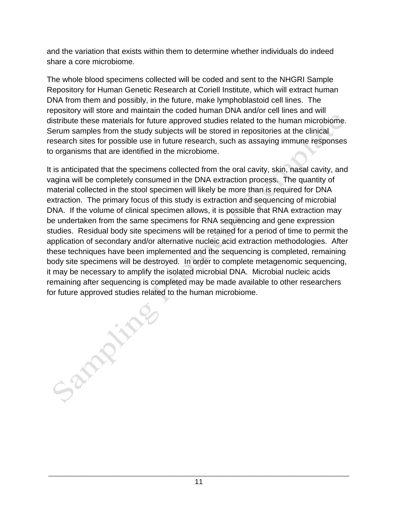and the variation that exists within them to determine whether individuals do indeed share a core microbiome.

The whole blood specimens collected will be coded and sent to the NHGRI Sample Repository for Human Genetic Research at Coriell Institute, which will extract human DNA from them and possibly, in the future, make lymphoblastoid cell lines. The repository will store and maintain the coded human DNA and/or cell lines and will distribute these materials for future approved studies related to the human microbiome. Serum samples from the study subjects will be stored in repositories at the clinical research sites for possible use in future research, such as assaying immune responses to organisms that are identified in the microbiome.

It is anticipated that the specimens collected from the oral cavity, skin, nasal cavity, and vagina will be completely consumed in the DNA extraction process. The quantity of material collected in the stool specimen will likely be more than is required for DNA extraction. The primary focus of this study is extraction and sequencing of microbial DNA. If the volume of clinical specimen allows, it is possible that RNA extraction may be undertaken from the same specimens for RNA sequencing and gene expression studies. Residual body site specimens will be retained for a period of time to permit the application of secondary and/or alternative nucleic acid extraction methodologies. After these techniques have been implemented and the sequencing is completed, remaining body site specimens will be destroyed. In order to complete metagenomic sequencing, it may be necessary to amplify the isolated microbial DNA. Microbial nucleic acids remaining after sequencing is completed may be made available to other researchers for future approved studies related to the human microbiome.

Sandy inger

\_\_\_\_\_\_\_\_\_\_\_\_\_\_\_\_\_\_\_\_\_\_\_\_\_\_\_\_\_\_\_\_\_\_\_\_\_\_\_\_\_\_\_\_\_\_\_\_\_\_\_\_\_\_\_\_\_\_\_\_\_\_\_\_\_\_\_\_\_\_\_\_\_\_\_\_\_\_\_\_\_\_\_\_\_\_\_\_\_\_\_\_\_ 11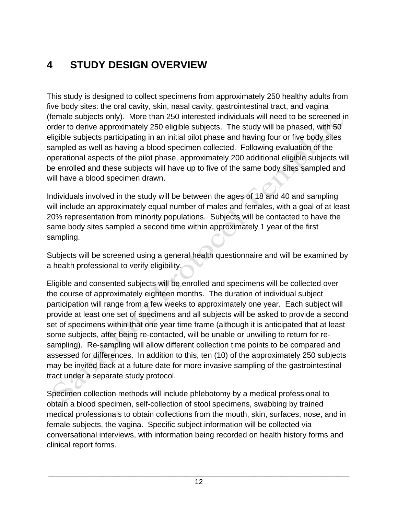# **4 STUDY DESIGN OVERVIEW**

This study is designed to collect specimens from approximately 250 healthy adults from five body sites: the oral cavity, skin, nasal cavity, gastrointestinal tract, and vagina (female subjects only). More than 250 interested individuals will need to be screened in order to derive approximately 250 eligible subjects. The study will be phased, with 50 eligible subjects participating in an initial pilot phase and having four or five body sites sampled as well as having a blood specimen collected. Following evaluation of the operational aspects of the pilot phase, approximately 200 additional eligible subjects will be enrolled and these subjects will have up to five of the same body sites sampled and will have a blood specimen drawn.

Individuals involved in the study will be between the ages of 18 and 40 and sampling will include an approximately equal number of males and females, with a goal of at least 20% representation from minority populations. Subjects will be contacted to have the same body sites sampled a second time within approximately 1 year of the first sampling.

Subjects will be screened using a general health questionnaire and will be examined by a health professional to verify eligibility.

Eligible and consented subjects will be enrolled and specimens will be collected over the course of approximately eighteen months. The duration of individual subject participation will range from a few weeks to approximately one year. Each subject will provide at least one set of specimens and all subjects will be asked to provide a second set of specimens within that one year time frame (although it is anticipated that at least some subjects, after being re-contacted, will be unable or unwilling to return for resampling). Re-sampling will allow different collection time points to be compared and assessed for differences. In addition to this, ten (10) of the approximately 250 subjects may be invited back at a future date for more invasive sampling of the gastrointestinal tract under a separate study protocol.

Specimen collection methods will include phlebotomy by a medical professional to obtain a blood specimen, self-collection of stool specimens, swabbing by trained medical professionals to obtain collections from the mouth, skin, surfaces, nose, and in female subjects, the vagina. Specific subject information will be collected via conversational interviews, with information being recorded on health history forms and clinical report forms.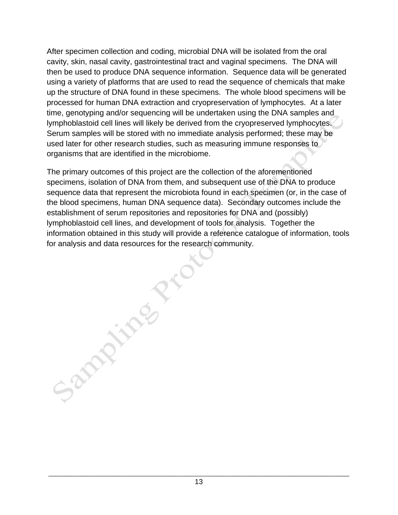After specimen collection and coding, microbial DNA will be isolated from the oral cavity, skin, nasal cavity, gastrointestinal tract and vaginal specimens. The DNA will then be used to produce DNA sequence information. Sequence data will be generated using a variety of platforms that are used to read the sequence of chemicals that make up the structure of DNA found in these specimens. The whole blood specimens will be processed for human DNA extraction and cryopreservation of lymphocytes. At a later time, genotyping and/or sequencing will be undertaken using the DNA samples and lymphoblastoid cell lines will likely be derived from the cryopreserved lymphocytes. Serum samples will be stored with no immediate analysis performed; these may be used later for other research studies, such as measuring immune responses to organisms that are identified in the microbiome.

The primary outcomes of this project are the collection of the aforementioned specimens, isolation of DNA from them, and subsequent use of the DNA to produce sequence data that represent the microbiota found in each specimen (or, in the case of the blood specimens, human DNA sequence data). Secondary outcomes include the establishment of serum repositories and repositories for DNA and (possibly) lymphoblastoid cell lines, and development of tools for analysis. Together the information obtained in this study will provide a reference catalogue of information, tools for analysis and data resources for the research community. Samily River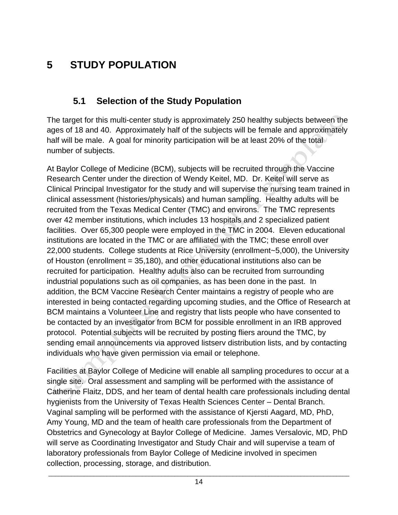# **5 STUDY POPULATION**

#### **5.1 Selection of the Study Population**

The target for this multi-center study is approximately 250 healthy subjects between the ages of 18 and 40. Approximately half of the subjects will be female and approximately half will be male. A goal for minority participation will be at least 20% of the total number of subjects.

At Baylor College of Medicine (BCM), subjects will be recruited through the Vaccine Research Center under the direction of Wendy Keitel, MD. Dr. Keitel will serve as Clinical Principal Investigator for the study and will supervise the nursing team trained in clinical assessment (histories/physicals) and human sampling. Healthy adults will be recruited from the Texas Medical Center (TMC) and environs. The TMC represents over 42 member institutions, which includes 13 hospitals and 2 specialized patient facilities. Over 65,300 people were employed in the TMC in 2004. Eleven educational institutions are located in the TMC or are affiliated with the TMC; these enroll over 22,000 students. College students at Rice University (enrollment~5,000), the University of Houston (enrollment = 35,180), and other educational institutions also can be recruited for participation. Healthy adults also can be recruited from surrounding industrial populations such as oil companies, as has been done in the past. In addition, the BCM Vaccine Research Center maintains a registry of people who are interested in being contacted regarding upcoming studies, and the Office of Research at BCM maintains a Volunteer Line and registry that lists people who have consented to be contacted by an investigator from BCM for possible enrollment in an IRB approved protocol. Potential subjects will be recruited by posting fliers around the TMC, by sending email announcements via approved listserv distribution lists, and by contacting individuals who have given permission via email or telephone.

Facilities at Baylor College of Medicine will enable all sampling procedures to occur at a single site. Oral assessment and sampling will be performed with the assistance of Catherine Flaitz, DDS, and her team of dental health care professionals including dental hygienists from the University of Texas Health Sciences Center – Dental Branch. Vaginal sampling will be performed with the assistance of Kjersti Aagard, MD, PhD, Amy Young, MD and the team of health care professionals from the Department of Obstetrics and Gynecology at Baylor College of Medicine. James Versalovic, MD, PhD will serve as Coordinating Investigator and Study Chair and will supervise a team of laboratory professionals from Baylor College of Medicine involved in specimen collection, processing, storage, and distribution.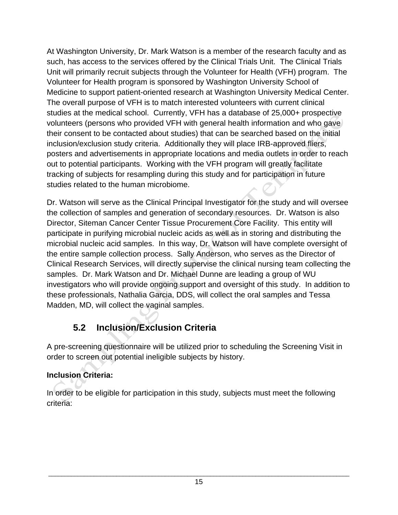At Washington University, Dr. Mark Watson is a member of the research faculty and as such, has access to the services offered by the Clinical Trials Unit. The Clinical Trials Unit will primarily recruit subjects through the Volunteer for Health (VFH) program. The Volunteer for Health program is sponsored by Washington University School of Medicine to support patient-oriented research at Washington University Medical Center. The overall purpose of VFH is to match interested volunteers with current clinical studies at the medical school. Currently, VFH has a database of 25,000+ prospective volunteers (persons who provided VFH with general health information and who gave their consent to be contacted about studies) that can be searched based on the initial inclusion/exclusion study criteria. Additionally they will place IRB-approved fliers, posters and advertisements in appropriate locations and media outlets in order to reach out to potential participants. Working with the VFH program will greatly facilitate tracking of subjects for resampling during this study and for participation in future studies related to the human microbiome.

Dr. Watson will serve as the Clinical Principal Investigator for the study and will oversee the collection of samples and generation of secondary resources. Dr. Watson is also Director, Siteman Cancer Center Tissue Procurement Core Facility. This entity will participate in purifying microbial nucleic acids as well as in storing and distributing the microbial nucleic acid samples. In this way, Dr. Watson will have complete oversight of the entire sample collection process. Sally Anderson, who serves as the Director of Clinical Research Services, will directly supervise the clinical nursing team collecting the samples. Dr. Mark Watson and Dr. Michael Dunne are leading a group of WU investigators who will provide ongoing support and oversight of this study. In addition to these professionals, Nathalia Garcia, DDS, will collect the oral samples and Tessa Madden, MD, will collect the vaginal samples.

# **5.2 Inclusion/Exclusion Criteria**

A pre-screening questionnaire will be utilized prior to scheduling the Screening Visit in order to screen out potential ineligible subjects by history.

#### **Inclusion Criteria:**

In order to be eligible for participation in this study, subjects must meet the following criteria: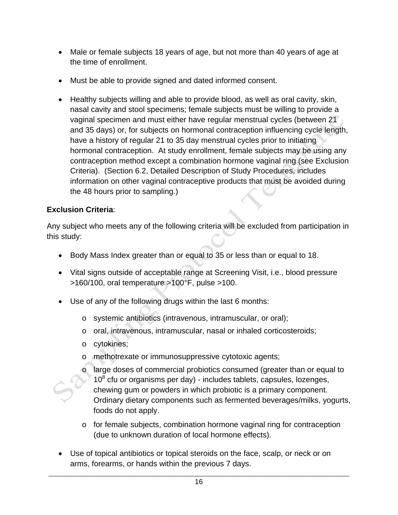- Male or female subjects 18 years of age, but not more than 40 years of age at the time of enrollment.
- Must be able to provide signed and dated informed consent.
- Healthy subjects willing and able to provide blood, as well as oral cavity, skin, nasal cavity and stool specimens; female subjects must be willing to provide a vaginal specimen and must either have regular menstrual cycles (between 21 and 35 days) or, for subjects on hormonal contraception influencing cycle length, have a history of regular 21 to 35 day menstrual cycles prior to initiating hormonal contraception. At study enrollment, female subjects may be using any contraception method except a combination hormone vaginal ring (see Exclusion Criteria). (Section 6.2, Detailed Description of Study Procedures, includes information on other vaginal contraceptive products that must be avoided during the 48 hours prior to sampling.)

#### **Exclusion Criteria**:

Any subject who meets any of the following criteria will be excluded from participation in this study:

- Body Mass Index greater than or equal to 35 or less than or equal to 18.
- Vital signs outside of acceptable range at Screening Visit, i.e., blood pressure  $>160/100$ , oral temperature  $>100^{\circ}$ F, pulse  $>100$ .
- Use of any of the following drugs within the last 6 months:
	- o systemic antibiotics (intravenous, intramuscular, or oral);
	- o oral, intravenous, intramuscular, nasal or inhaled corticosteroids;
	- o cytokines;
	- o methotrexate or immunosuppressive cytotoxic agents;
	- o large doses of commercial probiotics consumed (greater than or equal to  $10<sup>8</sup>$  cfu or organisms per day) - includes tablets, capsules, lozenges, chewing gum or powders in which probiotic is a primary component. Ordinary dietary components such as fermented beverages/milks, yogurts, foods do not apply.
	- o for female subjects, combination hormone vaginal ring for contraception (due to unknown duration of local hormone effects).
- Use of topical antibiotics or topical steroids on the face, scalp, or neck or on arms, forearms, or hands within the previous 7 days.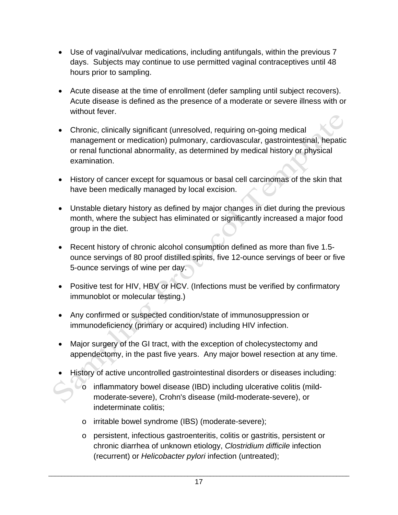- Use of vaginal/vulvar medications, including antifungals, within the previous 7 days. Subjects may continue to use permitted vaginal contraceptives until 48 hours prior to sampling.
- Acute disease at the time of enrollment (defer sampling until subject recovers). Acute disease is defined as the presence of a moderate or severe illness with or without fever.
- Chronic, clinically significant (unresolved, requiring on-going medical management or medication) pulmonary, cardiovascular, gastrointestinal, hepatic or renal functional abnormality, as determined by medical history or physical examination.
- History of cancer except for squamous or basal cell carcinomas of the skin that have been medically managed by local excision.
- Unstable dietary history as defined by major changes in diet during the previous month, where the subject has eliminated or significantly increased a major food group in the diet.
- Recent history of chronic alcohol consumption defined as more than five 1.5 ounce servings of 80 proof distilled spirits, five 12-ounce servings of beer or five 5-ounce servings of wine per day.
- Positive test for HIV, HBV or HCV. (Infections must be verified by confirmatory immunoblot or molecular testing.)
- Any confirmed or suspected condition/state of immunosuppression or immunodeficiency (primary or acquired) including HIV infection.
- Major surgery of the GI tract, with the exception of cholecystectomy and appendectomy, in the past five years. Any major bowel resection at any time.
- History of active uncontrolled gastrointestinal disorders or diseases including:
	- $\triangledown$  inflammatory bowel disease (IBD) including ulcerative colitis (mildmoderate-severe), Crohn's disease (mild-moderate-severe), or indeterminate colitis;
		- o irritable bowel syndrome (IBS) (moderate-severe);
		- o persistent, infectious gastroenteritis, colitis or gastritis, persistent or chronic diarrhea of unknown etiology, *Clostridium difficile* infection (recurrent) or *Helicobacter pylori* infection (untreated);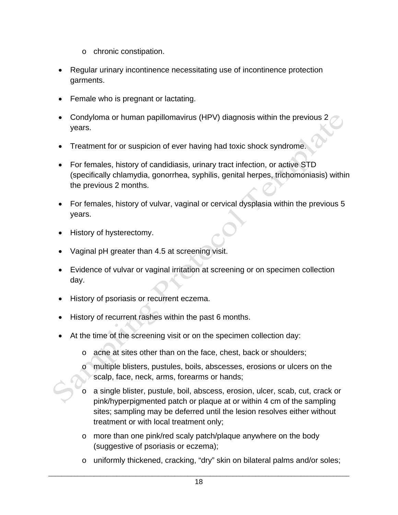- o chronic constipation.
- Regular urinary incontinence necessitating use of incontinence protection garments.
- Female who is pregnant or lactating.
- Condyloma or human papillomavirus (HPV) diagnosis within the previous 2 years.
- Treatment for or suspicion of ever having had toxic shock syndrome.
- For females, history of candidiasis, urinary tract infection, or active STD (specifically chlamydia, gonorrhea, syphilis, genital herpes, trichomoniasis) within the previous 2 months.
- For females, history of vulvar, vaginal or cervical dysplasia within the previous 5 years.
- History of hysterectomy.
- Vaginal pH greater than 4.5 at screening visit.
- Evidence of vulvar or vaginal irritation at screening or on specimen collection day.
- History of psoriasis or recurrent eczema.
- History of recurrent rashes within the past 6 months.
- At the time of the screening visit or on the specimen collection day:
	- o acne at sites other than on the face, chest, back or shoulders;
	- o multiple blisters, pustules, boils, abscesses, erosions or ulcers on the scalp, face, neck, arms, forearms or hands;
	- o a single blister, pustule, boil, abscess, erosion, ulcer, scab, cut, crack or pink/hyperpigmented patch or plaque at or within 4 cm of the sampling sites; sampling may be deferred until the lesion resolves either without treatment or with local treatment only;
	- o more than one pink/red scaly patch/plaque anywhere on the body (suggestive of psoriasis or eczema);
	- o uniformly thickened, cracking, "dry" skin on bilateral palms and/or soles;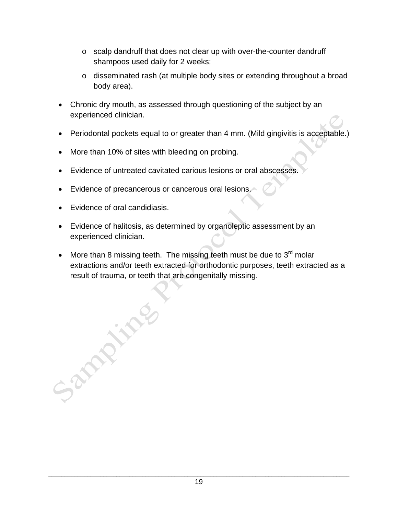- o scalp dandruff that does not clear up with over-the-counter dandruff shampoos used daily for 2 weeks;
- o disseminated rash (at multiple body sites or extending throughout a broad body area).
- Chronic dry mouth, as assessed through questioning of the subject by an experienced clinician.
- Periodontal pockets equal to or greater than 4 mm. (Mild gingivitis is acceptable.)
- More than 10% of sites with bleeding on probing.
- Evidence of untreated cavitated carious lesions or oral abscesses.
- Evidence of precancerous or cancerous oral lesions.
- Evidence of oral candidiasis.

**PART** 

- Evidence of halitosis, as determined by organoleptic assessment by an experienced clinician.
- More than 8 missing teeth. The missing teeth must be due to  $3<sup>rd</sup>$  molar extractions and/or teeth extracted for orthodontic purposes, teeth extracted as a result of trauma, or teeth that are congenitally missing.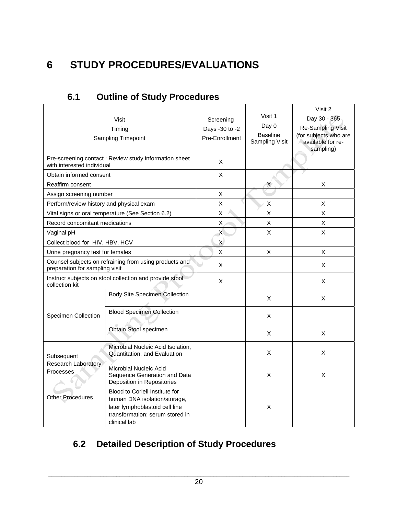# **6 STUDY PROCEDURES/EVALUATIONS**

|                                          | Visit<br>Timing<br>Sampling Timepoint                                                                                                               | Screening<br>Days -30 to -2<br>Pre-Enrollment | Visit 1<br>Day 0<br><b>Baseline</b><br>Sampling Visit | Visit 2<br>Day 30 - 365<br><b>Re-Sampling Visit</b><br>(for subjects who are<br>available for re-<br>sampling) |
|------------------------------------------|-----------------------------------------------------------------------------------------------------------------------------------------------------|-----------------------------------------------|-------------------------------------------------------|----------------------------------------------------------------------------------------------------------------|
| with interested individual               | Pre-screening contact: Review study information sheet                                                                                               | X                                             |                                                       |                                                                                                                |
| Obtain informed consent                  |                                                                                                                                                     | X                                             |                                                       |                                                                                                                |
| Reaffirm consent                         |                                                                                                                                                     |                                               | Χ                                                     | X                                                                                                              |
| Assign screening number                  |                                                                                                                                                     | X                                             |                                                       |                                                                                                                |
| Perform/review history and physical exam |                                                                                                                                                     | X                                             | х                                                     | Χ                                                                                                              |
|                                          | Vital signs or oral temperature (See Section 6.2)                                                                                                   | Χ                                             | Χ                                                     | X                                                                                                              |
| Record concomitant medications           |                                                                                                                                                     | Χ                                             | X                                                     | X                                                                                                              |
| Vaginal pH                               |                                                                                                                                                     | $\mathsf{X}$                                  | X                                                     | X                                                                                                              |
| Collect blood for HIV, HBV, HCV          |                                                                                                                                                     | $\mathsf{X}$                                  |                                                       |                                                                                                                |
| Urine pregnancy test for females         |                                                                                                                                                     | Χ                                             | X                                                     | X                                                                                                              |
| preparation for sampling visit           | Counsel subjects on refraining from using products and                                                                                              | X                                             |                                                       | X                                                                                                              |
| collection kit                           | Instruct subjects on stool collection and provide stool                                                                                             | X                                             |                                                       | X                                                                                                              |
|                                          | <b>Body Site Specimen Collection</b>                                                                                                                |                                               | X                                                     | X                                                                                                              |
| <b>Specimen Collection</b>               | <b>Blood Specimen Collection</b>                                                                                                                    |                                               | X                                                     |                                                                                                                |
|                                          | Obtain Stool specimen                                                                                                                               |                                               | X                                                     | X                                                                                                              |
| Subsequent<br>Research Laboratory        | Microbial Nucleic Acid Isolation,<br>Quantitation, and Evaluation                                                                                   |                                               | X                                                     | X                                                                                                              |
| Processes                                | Microbial Nucleic Acid<br>Sequence Generation and Data<br>Deposition in Repositories                                                                |                                               | X                                                     | X                                                                                                              |
| <b>Other Procedures</b>                  | Blood to Coriell Institute for<br>human DNA isolation/storage,<br>later lymphoblastoid cell line<br>transformation; serum stored in<br>clinical lab |                                               | X                                                     |                                                                                                                |

#### **6.1 Outline of Study Procedures**

# **6.2 Detailed Description of Study Procedures**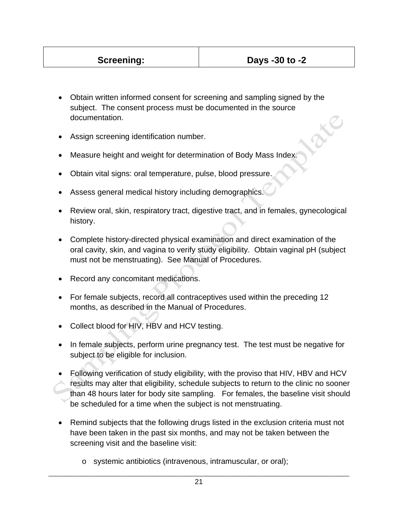- Obtain written informed consent for screening and sampling signed by the subject. The consent process must be documented in the source documentation.
- Assign screening identification number.
- Measure height and weight for determination of Body Mass Index.
- Obtain vital signs: oral temperature, pulse, blood pressure.
- Assess general medical history including demographics.
- Review oral, skin, respiratory tract, digestive tract, and in females, gynecological history.
- Complete history-directed physical examination and direct examination of the oral cavity, skin, and vagina to verify study eligibility. Obtain vaginal pH (subject must not be menstruating). See Manual of Procedures.
- Record any concomitant medications.
- For female subjects, record all contraceptives used within the preceding 12 months, as described in the Manual of Procedures.
- Collect blood for HIV, HBV and HCV testing.
- In female subjects, perform urine pregnancy test. The test must be negative for subject to be eligible for inclusion.
- Following verification of study eligibility, with the proviso that HIV, HBV and HCV results may alter that eligibility, schedule subjects to return to the clinic no sooner than 48 hours later for body site sampling. For females, the baseline visit should be scheduled for a time when the subject is not menstruating.
- Remind subjects that the following drugs listed in the exclusion criteria must not have been taken in the past six months, and may not be taken between the screening visit and the baseline visit:
	- o systemic antibiotics (intravenous, intramuscular, or oral);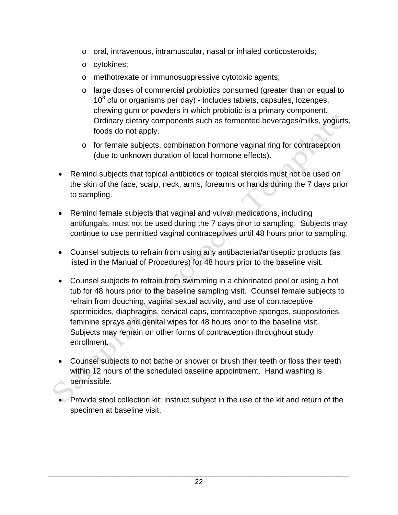- o oral, intravenous, intramuscular, nasal or inhaled corticosteroids;
- o cytokines;
- o methotrexate or immunosuppressive cytotoxic agents;
- o large doses of commercial probiotics consumed (greater than or equal to  $10<sup>8</sup>$  cfu or organisms per day) - includes tablets, capsules, lozenges, chewing gum or powders in which probiotic is a primary component. Ordinary dietary components such as fermented beverages/milks, yogurts, foods do not apply.
- o for female subjects, combination hormone vaginal ring for contraception (due to unknown duration of local hormone effects).
- Remind subjects that topical antibiotics or topical steroids must not be used on the skin of the face, scalp, neck, arms, forearms or hands during the 7 days prior to sampling.
- Remind female subjects that vaginal and vulvar medications, including antifungals, must not be used during the 7 days prior to sampling. Subjects may continue to use permitted vaginal contraceptives until 48 hours prior to sampling.
- Counsel subjects to refrain from using any antibacterial/antiseptic products (as listed in the Manual of Procedures) for 48 hours prior to the baseline visit.
- Counsel subjects to refrain from swimming in a chlorinated pool or using a hot tub for 48 hours prior to the baseline sampling visit. Counsel female subjects to refrain from douching, vaginal sexual activity, and use of contraceptive spermicides, diaphragms, cervical caps, contraceptive sponges, suppositories, feminine sprays and genital wipes for 48 hours prior to the baseline visit. Subjects may remain on other forms of contraception throughout study enrollment.
- Counsel subjects to not bathe or shower or brush their teeth or floss their teeth within 12 hours of the scheduled baseline appointment. Hand washing is permissible.
- Provide stool collection kit; instruct subject in the use of the kit and return of the specimen at baseline visit.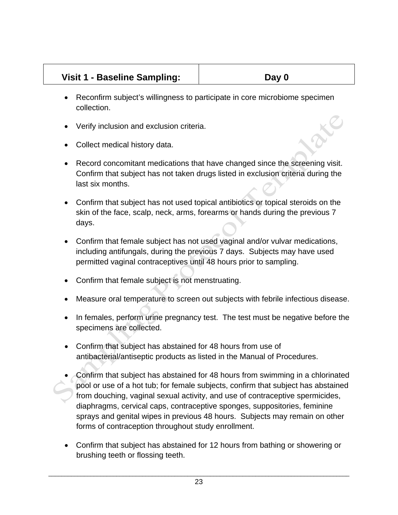#### Visit 1 - Baseline Sampling:  $\vert$  **Day 0**

- Reconfirm subject's willingness to participate in core microbiome specimen collection.
- Verify inclusion and exclusion criteria.
- Collect medical history data.
- Record concomitant medications that have changed since the screening visit. Confirm that subject has not taken drugs listed in exclusion criteria during the last six months.
- Confirm that subject has not used topical antibiotics or topical steroids on the skin of the face, scalp, neck, arms, forearms or hands during the previous 7 days.
- Confirm that female subject has not used vaginal and/or vulvar medications, including antifungals, during the previous 7 days. Subjects may have used permitted vaginal contraceptives until 48 hours prior to sampling.
- Confirm that female subject is not menstruating.
- Measure oral temperature to screen out subjects with febrile infectious disease.
- In females, perform urine pregnancy test. The test must be negative before the specimens are collected.
- Confirm that subject has abstained for 48 hours from use of antibacterial/antiseptic products as listed in the Manual of Procedures.
- Confirm that subject has abstained for 48 hours from swimming in a chlorinated pool or use of a hot tub; for female subjects, confirm that subject has abstained from douching, vaginal sexual activity, and use of contraceptive spermicides, diaphragms, cervical caps, contraceptive sponges, suppositories, feminine sprays and genital wipes in previous 48 hours. Subjects may remain on other forms of contraception throughout study enrollment.
- Confirm that subject has abstained for 12 hours from bathing or showering or brushing teeth or flossing teeth.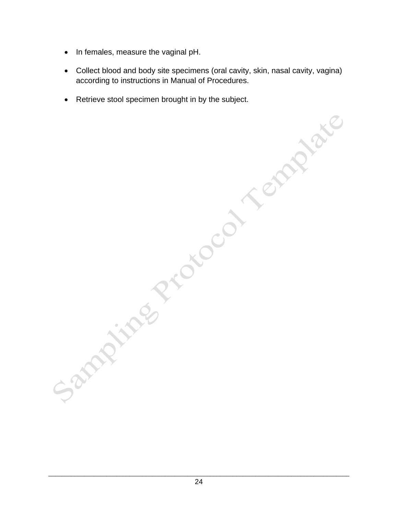- In females, measure the vaginal pH.
- Collect blood and body site specimens (oral cavity, skin, nasal cavity, vagina) according to instructions in Manual of Procedures.
- Retrieve stool specimen brought in by the subject.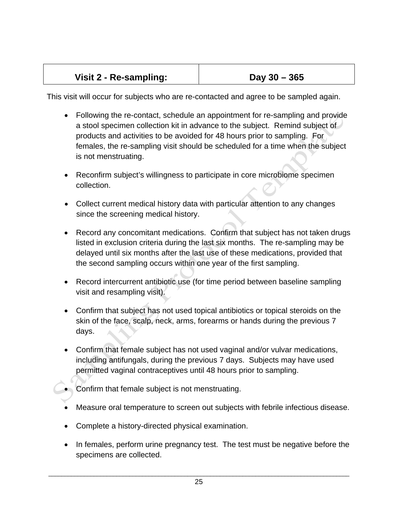| Visit 2 - Re-sampling: | Day $30 - 365$ |
|------------------------|----------------|
|                        |                |

This visit will occur for subjects who are re-contacted and agree to be sampled again.

- Following the re-contact, schedule an appointment for re-sampling and provide a stool specimen collection kit in advance to the subject. Remind subject of products and activities to be avoided for 48 hours prior to sampling. For females, the re-sampling visit should be scheduled for a time when the subject is not menstruating.
- Reconfirm subject's willingness to participate in core microbiome specimen collection.
- Collect current medical history data with particular attention to any changes since the screening medical history.
- Record any concomitant medications. Confirm that subject has not taken drugs listed in exclusion criteria during the last six months. The re-sampling may be delayed until six months after the last use of these medications, provided that the second sampling occurs within one year of the first sampling.
- Record intercurrent antibiotic use (for time period between baseline sampling visit and resampling visit).
- Confirm that subject has not used topical antibiotics or topical steroids on the skin of the face, scalp, neck, arms, forearms or hands during the previous 7 days.
- Confirm that female subject has not used vaginal and/or vulvar medications, including antifungals, during the previous 7 days. Subjects may have used permitted vaginal contraceptives until 48 hours prior to sampling.

• Confirm that female subject is not menstruating.

- Measure oral temperature to screen out subjects with febrile infectious disease.
- Complete a history-directed physical examination.
- In females, perform urine pregnancy test. The test must be negative before the specimens are collected.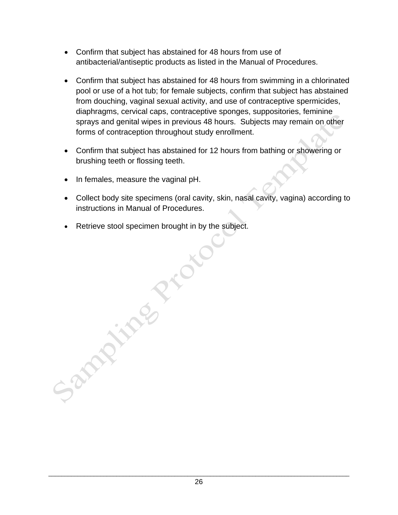- Confirm that subject has abstained for 48 hours from use of antibacterial/antiseptic products as listed in the Manual of Procedures.
- Confirm that subject has abstained for 48 hours from swimming in a chlorinated pool or use of a hot tub; for female subjects, confirm that subject has abstained from douching, vaginal sexual activity, and use of contraceptive spermicides, diaphragms, cervical caps, contraceptive sponges, suppositories, feminine sprays and genital wipes in previous 48 hours. Subjects may remain on other forms of contraception throughout study enrollment.
- Confirm that subject has abstained for 12 hours from bathing or showering or brushing teeth or flossing teeth.
- In females, measure the vaginal pH.

and in

- Collect body site specimens (oral cavity, skin, nasal cavity, vagina) according to instructions in Manual of Procedures.
- Retrieve stool specimen brought in by the subject.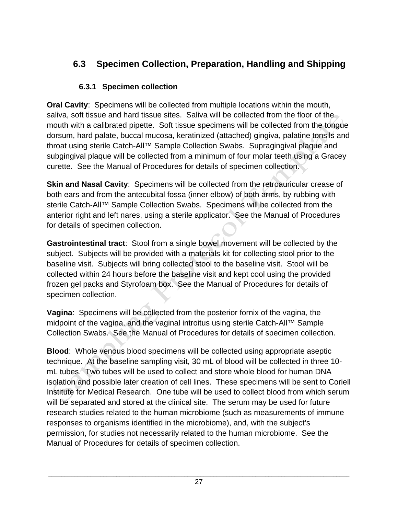## **6.3 Specimen Collection, Preparation, Handling and Shipping**

#### **6.3.1 Specimen collection**

**Oral Cavity**: Specimens will be collected from multiple locations within the mouth, saliva, soft tissue and hard tissue sites. Saliva will be collected from the floor of the mouth with a calibrated pipette. Soft tissue specimens will be collected from the tongue dorsum, hard palate, buccal mucosa, keratinized (attached) gingiva, palatine tonsils and throat using sterile Catch-All™ Sample Collection Swabs. Supragingival plaque and subgingival plaque will be collected from a minimum of four molar teeth using a Gracey curette. See the Manual of Procedures for details of specimen collection.

**Skin and Nasal Cavity:** Specimens will be collected from the retroauricular crease of both ears and from the antecubital fossa (inner elbow) of both arms, by rubbing with sterile Catch-All™ Sample Collection Swabs. Specimens will be collected from the anterior right and left nares, using a sterile applicator. See the Manual of Procedures for details of specimen collection.

**Gastrointestinal tract**: Stool from a single bowel movement will be collected by the subject. Subjects will be provided with a materials kit for collecting stool prior to the baseline visit. Subjects will bring collected stool to the baseline visit. Stool will be collected within 24 hours before the baseline visit and kept cool using the provided frozen gel packs and Styrofoam box. See the Manual of Procedures for details of specimen collection.

**Vagina**: Specimens will be collected from the posterior fornix of the vagina, the midpoint of the vagina, and the vaginal introitus using sterile Catch-All™ Sample Collection Swabs. See the Manual of Procedures for details of specimen collection.

**Blood**: Whole venous blood specimens will be collected using appropriate aseptic technique. At the baseline sampling visit, 30 mL of blood will be collected in three 10 mL tubes. Two tubes will be used to collect and store whole blood for human DNA isolation and possible later creation of cell lines. These specimens will be sent to Coriell Institute for Medical Research. One tube will be used to collect blood from which serum will be separated and stored at the clinical site. The serum may be used for future research studies related to the human microbiome (such as measurements of immune responses to organisms identified in the microbiome), and, with the subject's permission, for studies not necessarily related to the human microbiome. See the Manual of Procedures for details of specimen collection.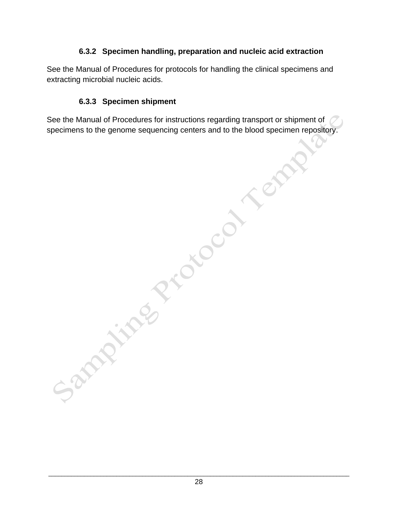#### **6.3.2 Specimen handling, preparation and nucleic acid extraction**

See the Manual of Procedures for protocols for handling the clinical specimens and extracting microbial nucleic acids.

#### **6.3.3 Specimen shipment**

specimens to the genome sequencing centers and to the blood specimen repository.

See the Manual of Procedures for instructions regarding transport or shipment of<br>specimens to the genome sequencing centers and to the blood specimen repositor<br>procedures for instructions regarding transport or shipment of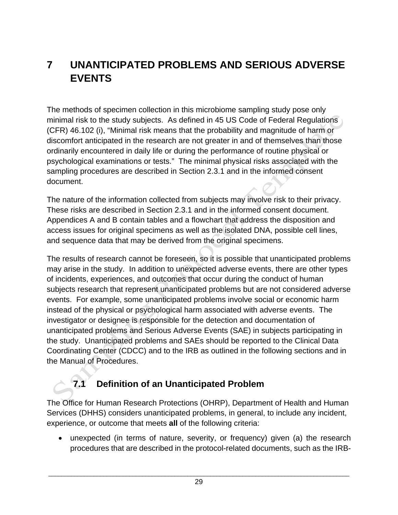# **7 UNANTICIPATED PROBLEMS AND SERIOUS ADVERSE EVENTS**

The methods of specimen collection in this microbiome sampling study pose only minimal risk to the study subjects. As defined in 45 US Code of Federal Regulations (CFR) 46.102 (i), "Minimal risk means that the probability and magnitude of harm or discomfort anticipated in the research are not greater in and of themselves than those ordinarily encountered in daily life or during the performance of routine physical or psychological examinations or tests." The minimal physical risks associated with the sampling procedures are described in Section 2.3.1 and in the informed consent document.

The nature of the information collected from subjects may involve risk to their privacy. These risks are described in Section 2.3.1 and in the informed consent document. Appendices A and B contain tables and a flowchart that address the disposition and access issues for original specimens as well as the isolated DNA, possible cell lines, and sequence data that may be derived from the original specimens.

The results of research cannot be foreseen, so it is possible that unanticipated problems may arise in the study. In addition to unexpected adverse events, there are other types of incidents, experiences, and outcomes that occur during the conduct of human subjects research that represent unanticipated problems but are not considered adverse events. For example, some unanticipated problems involve social or economic harm instead of the physical or psychological harm associated with adverse events. The investigator or designee is responsible for the detection and documentation of unanticipated problems and Serious Adverse Events (SAE) in subjects participating in the study. Unanticipated problems and SAEs should be reported to the Clinical Data Coordinating Center (CDCC) and to the IRB as outlined in the following sections and in the Manual of Procedures.

## **7.1 Definition of an Unanticipated Problem**

The Office for Human Research Protections (OHRP), Department of Health and Human Services (DHHS) considers unanticipated problems, in general, to include any incident, experience, or outcome that meets **all** of the following criteria:

• unexpected (in terms of nature, severity, or frequency) given (a) the research procedures that are described in the protocol-related documents, such as the IRB-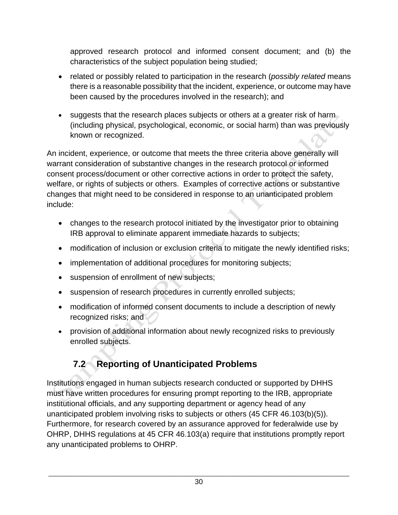approved research protocol and informed consent document; and (b) the characteristics of the subject population being studied;

- related or possibly related to participation in the research (*possibly related* means there is a reasonable possibility that the incident, experience, or outcome may have been caused by the procedures involved in the research); and
- suggests that the research places subjects or others at a greater risk of harm (including physical, psychological, economic, or social harm) than was previously known or recognized.

An incident, experience, or outcome that meets the three criteria above generally will warrant consideration of substantive changes in the research protocol or informed consent process/document or other corrective actions in order to protect the safety, welfare, or rights of subjects or others. Examples of corrective actions or substantive changes that might need to be considered in response to an unanticipated problem include:

- changes to the research protocol initiated by the investigator prior to obtaining IRB approval to eliminate apparent immediate hazards to subjects;
- modification of inclusion or exclusion criteria to mitigate the newly identified risks;
- implementation of additional procedures for monitoring subjects;
- suspension of enrollment of new subjects;
- suspension of research procedures in currently enrolled subjects;
- modification of informed consent documents to include a description of newly recognized risks; and
- provision of additional information about newly recognized risks to previously enrolled subjects.

# **7.2 Reporting of Unanticipated Problems**

Institutions engaged in human subjects research conducted or supported by DHHS must have written procedures for ensuring prompt reporting to the IRB, appropriate institutional officials, and any supporting department or agency head of any unanticipated problem involving risks to subjects or others (45 CFR 46.103(b)(5)). Furthermore, for research covered by an assurance approved for federalwide use by OHRP, DHHS regulations at 45 CFR 46.103(a) require that institutions promptly report any unanticipated problems to OHRP.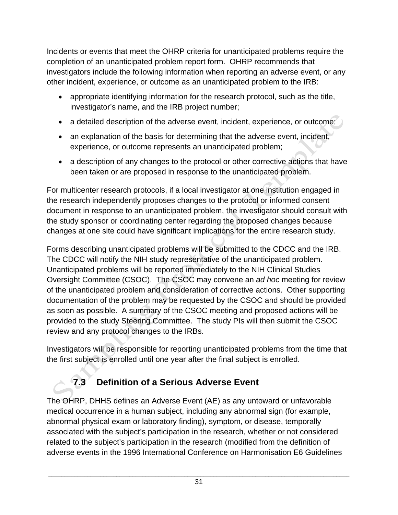Incidents or events that meet the OHRP criteria for unanticipated problems require the completion of an unanticipated problem report form. OHRP recommends that investigators include the following information when reporting an adverse event, or any other incident, experience, or outcome as an unanticipated problem to the IRB:

- appropriate identifying information for the research protocol, such as the title, investigator's name, and the IRB project number;
- a detailed description of the adverse event, incident, experience, or outcome;
- an explanation of the basis for determining that the adverse event, incident, experience, or outcome represents an unanticipated problem;
- a description of any changes to the protocol or other corrective actions that have been taken or are proposed in response to the unanticipated problem.

For multicenter research protocols, if a local investigator at one institution engaged in the research independently proposes changes to the protocol or informed consent document in response to an unanticipated problem, the investigator should consult with the study sponsor or coordinating center regarding the proposed changes because changes at one site could have significant implications for the entire research study.

Forms describing unanticipated problems will be submitted to the CDCC and the IRB. The CDCC will notify the NIH study representative of the unanticipated problem. Unanticipated problems will be reported immediately to the NIH Clinical Studies Oversight Committee (CSOC). The CSOC may convene an *ad hoc* meeting for review of the unanticipated problem and consideration of corrective actions. Other supporting documentation of the problem may be requested by the CSOC and should be provided as soon as possible. A summary of the CSOC meeting and proposed actions will be provided to the study Steering Committee. The study PIs will then submit the CSOC review and any protocol changes to the IRBs.

Investigators will be responsible for reporting unanticipated problems from the time that the first subject is enrolled until one year after the final subject is enrolled.

# **7.3 Definition of a Serious Adverse Event**

The OHRP, DHHS defines an Adverse Event (AE) as any untoward or unfavorable medical occurrence in a human subject, including any abnormal sign (for example, abnormal physical exam or laboratory finding), symptom, or disease, temporally associated with the subject's participation in the research, whether or not considered related to the subject's participation in the research (modified from the definition of adverse events in the 1996 International Conference on Harmonisation E6 Guidelines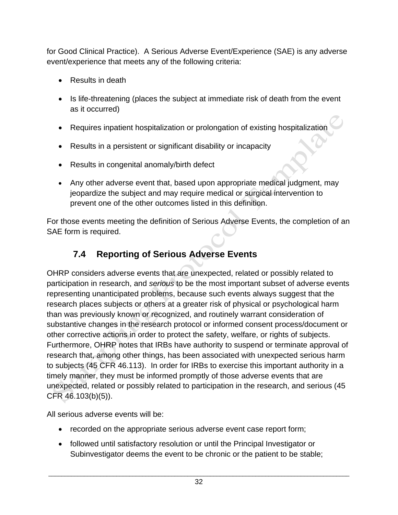for Good Clinical Practice). A Serious Adverse Event/Experience (SAE) is any adverse event/experience that meets any of the following criteria:

- Results in death
- Is life-threatening (places the subject at immediate risk of death from the event as it occurred)
- Requires inpatient hospitalization or prolongation of existing hospitalization
- Results in a persistent or significant disability or incapacity
- Results in congenital anomaly/birth defect
- Any other adverse event that, based upon appropriate medical judgment, may jeopardize the subject and may require medical or surgical intervention to prevent one of the other outcomes listed in this definition.

For those events meeting the definition of Serious Adverse Events, the completion of an SAE form is required.

# **7.4 Reporting of Serious Adverse Events**

OHRP considers adverse events that are unexpected, related or possibly related to participation in research, and *serious* to be the most important subset of adverse events representing unanticipated problems, because such events always suggest that the research places subjects or others at a greater risk of physical or psychological harm than was previously known or recognized, and routinely warrant consideration of substantive changes in the research protocol or informed consent process/document or other corrective actions in order to protect the safety, welfare, or rights of subjects. Furthermore, OHRP notes that IRBs have authority to suspend or terminate approval of research that, among other things, has been associated with unexpected serious harm to subjects (45 CFR 46.113). In order for IRBs to exercise this important authority in a timely manner, they must be informed promptly of those adverse events that are unexpected, related or possibly related to participation in the research, and serious (45 CFR 46.103(b)(5)).

All serious adverse events will be:

- recorded on the appropriate serious adverse event case report form;
- followed until satisfactory resolution or until the Principal Investigator or Subinvestigator deems the event to be chronic or the patient to be stable;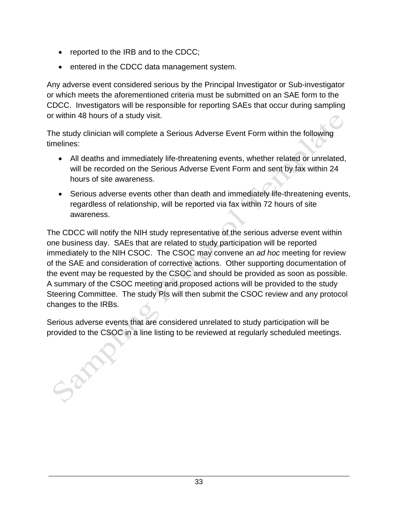• reported to the IRB and to the CDCC;

200

• entered in the CDCC data management system.

Any adverse event considered serious by the Principal Investigator or Sub-investigator or which meets the aforementioned criteria must be submitted on an SAE form to the CDCC. Investigators will be responsible for reporting SAEs that occur during sampling or within 48 hours of a study visit.

The study clinician will complete a Serious Adverse Event Form within the following timelines:

- All deaths and immediately life-threatening events, whether related or unrelated, will be recorded on the Serious Adverse Event Form and sent by fax within 24 hours of site awareness.
- Serious adverse events other than death and immediately life-threatening events, regardless of relationship, will be reported via fax within 72 hours of site awareness.

The CDCC will notify the NIH study representative of the serious adverse event within one business day. SAEs that are related to study participation will be reported immediately to the NIH CSOC. The CSOC may convene an *ad hoc* meeting for review of the SAE and consideration of corrective actions. Other supporting documentation of the event may be requested by the CSOC and should be provided as soon as possible. A summary of the CSOC meeting and proposed actions will be provided to the study Steering Committee. The study PIs will then submit the CSOC review and any protocol changes to the IRBs.

Serious adverse events that are considered unrelated to study participation will be provided to the CSOC in a line listing to be reviewed at regularly scheduled meetings.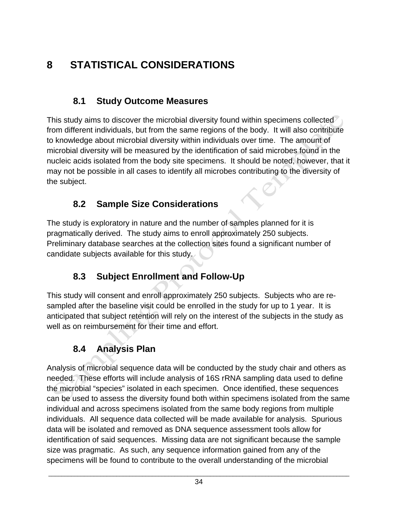# **8 STATISTICAL CONSIDERATIONS**

#### **8.1 Study Outcome Measures**

This study aims to discover the microbial diversity found within specimens collected from different individuals, but from the same regions of the body. It will also contribute to knowledge about microbial diversity within individuals over time. The amount of microbial diversity will be measured by the identification of said microbes found in the nucleic acids isolated from the body site specimens. It should be noted, however, that it may not be possible in all cases to identify all microbes contributing to the diversity of the subject.

#### **8.2 Sample Size Considerations**

The study is exploratory in nature and the number of samples planned for it is pragmatically derived. The study aims to enroll approximately 250 subjects. Preliminary database searches at the collection sites found a significant number of candidate subjects available for this study.

# **8.3 Subject Enrollment and Follow-Up**

This study will consent and enroll approximately 250 subjects. Subjects who are resampled after the baseline visit could be enrolled in the study for up to 1 year. It is anticipated that subject retention will rely on the interest of the subjects in the study as well as on reimbursement for their time and effort.

## **8.4 Analysis Plan**

Analysis of microbial sequence data will be conducted by the study chair and others as needed. These efforts will include analysis of 16S rRNA sampling data used to define the microbial "species" isolated in each specimen. Once identified, these sequences can be used to assess the diversity found both within specimens isolated from the same individual and across specimens isolated from the same body regions from multiple individuals. All sequence data collected will be made available for analysis. Spurious data will be isolated and removed as DNA sequence assessment tools allow for identification of said sequences. Missing data are not significant because the sample size was pragmatic. As such, any sequence information gained from any of the specimens will be found to contribute to the overall understanding of the microbial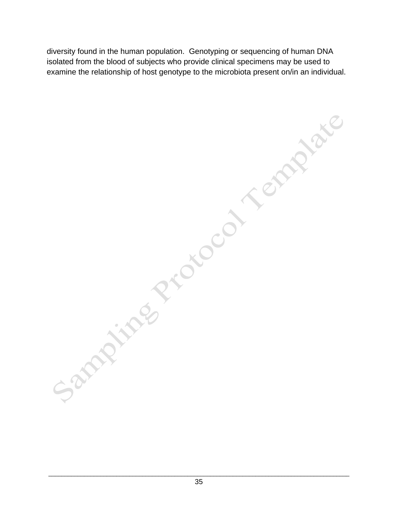diversity found in the human population. Genotyping or sequencing of human DNA isolated from the blood of subjects who provide clinical specimens may be used to examine the relationship of host genotype to the microbiota present on/in an individual.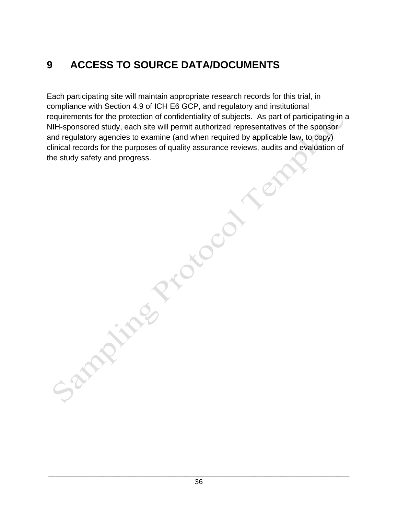# **9 ACCESS TO SOURCE DATA/DOCUMENTS**

Each participating site will maintain appropriate research records for this trial, in compliance with Section 4.9 of ICH E6 GCP, and regulatory and institutional requirements for the protection of confidentiality of subjects. As part of participating in a NIH-sponsored study, each site will permit authorized representatives of the sponsor and regulatory agencies to examine (and when required by applicable law, to copy) clinical records for the purposes of quality assurance reviews, audits and evaluation of the study safety and progress.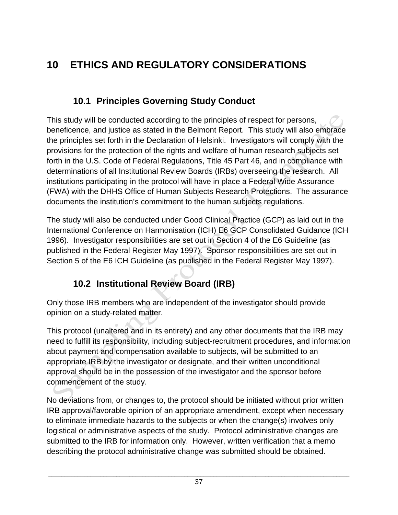# **10 ETHICS AND REGULATORY CONSIDERATIONS**

#### **10.1 Principles Governing Study Conduct**

This study will be conducted according to the principles of respect for persons, beneficence, and justice as stated in the Belmont Report. This study will also embrace the principles set forth in the Declaration of Helsinki. Investigators will comply with the provisions for the protection of the rights and welfare of human research subjects set forth in the U.S. Code of Federal Regulations, Title 45 Part 46, and in compliance with determinations of all Institutional Review Boards (IRBs) overseeing the research. All institutions participating in the protocol will have in place a Federal Wide Assurance (FWA) with the DHHS Office of Human Subjects Research Protections. The assurance documents the institution's commitment to the human subjects regulations.

The study will also be conducted under Good Clinical Practice (GCP) as laid out in the International Conference on Harmonisation (ICH) E6 GCP Consolidated Guidance (ICH 1996). Investigator responsibilities are set out in Section 4 of the E6 Guideline (as published in the Federal Register May 1997). Sponsor responsibilities are set out in Section 5 of the E6 ICH Guideline (as published in the Federal Register May 1997).

# **10.2 Institutional Review Board (IRB)**

Only those IRB members who are independent of the investigator should provide opinion on a study-related matter.

This protocol (unaltered and in its entirety) and any other documents that the IRB may need to fulfill its responsibility, including subject-recruitment procedures, and information about payment and compensation available to subjects, will be submitted to an appropriate IRB by the investigator or designate, and their written unconditional approval should be in the possession of the investigator and the sponsor before commencement of the study.

No deviations from, or changes to, the protocol should be initiated without prior written IRB approval/favorable opinion of an appropriate amendment, except when necessary to eliminate immediate hazards to the subjects or when the change(s) involves only logistical or administrative aspects of the study. Protocol administrative changes are submitted to the IRB for information only. However, written verification that a memo describing the protocol administrative change was submitted should be obtained.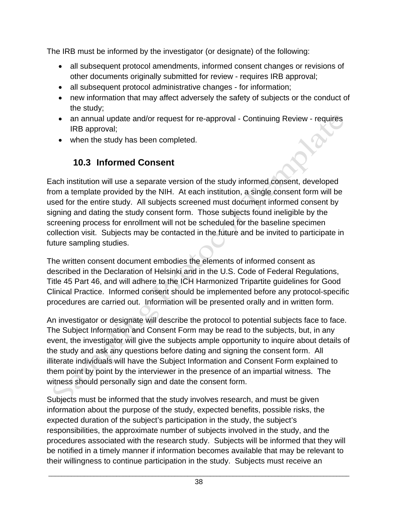The IRB must be informed by the investigator (or designate) of the following:

- all subsequent protocol amendments, informed consent changes or revisions of other documents originally submitted for review - requires IRB approval;
- all subsequent protocol administrative changes for information;
- new information that may affect adversely the safety of subjects or the conduct of the study;
- an annual update and/or request for re-approval Continuing Review requires IRB approval;
- when the study has been completed.

#### **10.3 Informed Consent**

Each institution will use a separate version of the study informed consent, developed from a template provided by the NIH. At each institution, a single consent form will be used for the entire study. All subjects screened must document informed consent by signing and dating the study consent form. Those subjects found ineligible by the screening process for enrollment will not be scheduled for the baseline specimen collection visit. Subjects may be contacted in the future and be invited to participate in future sampling studies.

The written consent document embodies the elements of informed consent as described in the Declaration of Helsinki and in the U.S. Code of Federal Regulations, Title 45 Part 46, and will adhere to the ICH Harmonized Tripartite guidelines for Good Clinical Practice. Informed consent should be implemented before any protocol-specific procedures are carried out. Information will be presented orally and in written form.

An investigator or designate will describe the protocol to potential subjects face to face. The Subject Information and Consent Form may be read to the subjects, but, in any event, the investigator will give the subjects ample opportunity to inquire about details of the study and ask any questions before dating and signing the consent form. All illiterate individuals will have the Subject Information and Consent Form explained to them point by point by the interviewer in the presence of an impartial witness. The witness should personally sign and date the consent form.

Subjects must be informed that the study involves research, and must be given information about the purpose of the study, expected benefits, possible risks, the expected duration of the subject's participation in the study, the subject's responsibilities, the approximate number of subjects involved in the study, and the procedures associated with the research study. Subjects will be informed that they will be notified in a timely manner if information becomes available that may be relevant to their willingness to continue participation in the study. Subjects must receive an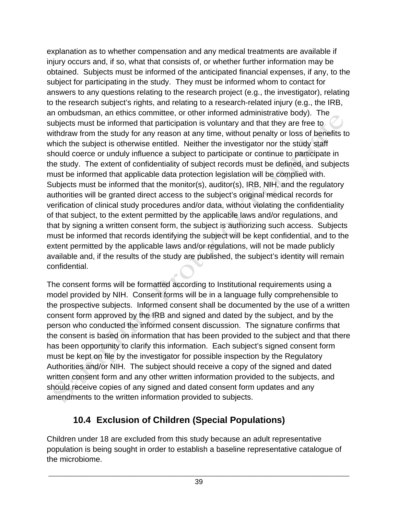explanation as to whether compensation and any medical treatments are available if injury occurs and, if so, what that consists of, or whether further information may be obtained. Subjects must be informed of the anticipated financial expenses, if any, to the subject for participating in the study. They must be informed whom to contact for answers to any questions relating to the research project (e.g., the investigator), relating to the research subject's rights, and relating to a research-related injury (e.g., the IRB, an ombudsman, an ethics committee, or other informed administrative body). The subjects must be informed that participation is voluntary and that they are free to withdraw from the study for any reason at any time, without penalty or loss of benefits to which the subject is otherwise entitled. Neither the investigator nor the study staff should coerce or unduly influence a subject to participate or continue to participate in the study. The extent of confidentiality of subject records must be defined, and subjects must be informed that applicable data protection legislation will be complied with. Subjects must be informed that the monitor(s), auditor(s), IRB, NIH, and the regulatory authorities will be granted direct access to the subject's original medical records for verification of clinical study procedures and/or data, without violating the confidentiality of that subject, to the extent permitted by the applicable laws and/or regulations, and that by signing a written consent form, the subject is authorizing such access. Subjects must be informed that records identifying the subject will be kept confidential, and to the extent permitted by the applicable laws and/or regulations, will not be made publicly available and, if the results of the study are published, the subject's identity will remain confidential.

The consent forms will be formatted according to Institutional requirements using a model provided by NIH. Consent forms will be in a language fully comprehensible to the prospective subjects. Informed consent shall be documented by the use of a written consent form approved by the IRB and signed and dated by the subject, and by the person who conducted the informed consent discussion. The signature confirms that the consent is based on information that has been provided to the subject and that there has been opportunity to clarify this information. Each subject's signed consent form must be kept on file by the investigator for possible inspection by the Regulatory Authorities and/or NIH. The subject should receive a copy of the signed and dated written consent form and any other written information provided to the subjects, and should receive copies of any signed and dated consent form updates and any amendments to the written information provided to subjects.

## **10.4 Exclusion of Children (Special Populations)**

Children under 18 are excluded from this study because an adult representative population is being sought in order to establish a baseline representative catalogue of the microbiome.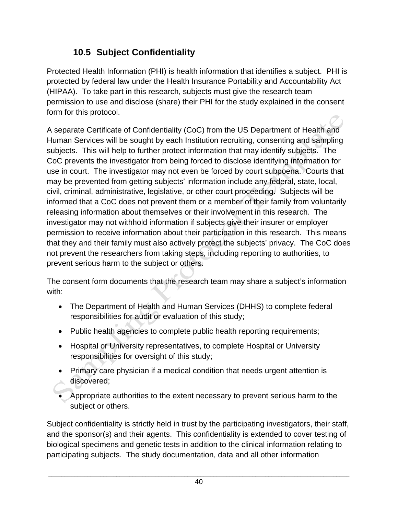## **10.5 Subject Confidentiality**

Protected Health Information (PHI) is health information that identifies a subject. PHI is protected by federal law under the Health Insurance Portability and Accountability Act (HIPAA). To take part in this research, subjects must give the research team permission to use and disclose (share) their PHI for the study explained in the consent form for this protocol.

A separate Certificate of Confidentiality (CoC) from the US Department of Health and Human Services will be sought by each Institution recruiting, consenting and sampling subjects. This will help to further protect information that may identify subjects. The CoC prevents the investigator from being forced to disclose identifying information for use in court. The investigator may not even be forced by court subpoena. Courts that may be prevented from getting subjects' information include any federal, state, local, civil, criminal, administrative, legislative, or other court proceeding. Subjects will be informed that a CoC does not prevent them or a member of their family from voluntarily releasing information about themselves or their involvement in this research. The investigator may not withhold information if subjects give their insurer or employer permission to receive information about their participation in this research. This means that they and their family must also actively protect the subjects' privacy. The CoC does not prevent the researchers from taking steps, including reporting to authorities, to prevent serious harm to the subject or others.

The consent form documents that the research team may share a subject's information with:

- The Department of Health and Human Services (DHHS) to complete federal responsibilities for audit or evaluation of this study;
- Public health agencies to complete public health reporting requirements;
- Hospital or University representatives, to complete Hospital or University responsibilities for oversight of this study;
- Primary care physician if a medical condition that needs urgent attention is discovered;
- Appropriate authorities to the extent necessary to prevent serious harm to the subject or others.

Subject confidentiality is strictly held in trust by the participating investigators, their staff, and the sponsor(s) and their agents. This confidentiality is extended to cover testing of biological specimens and genetic tests in addition to the clinical information relating to participating subjects. The study documentation, data and all other information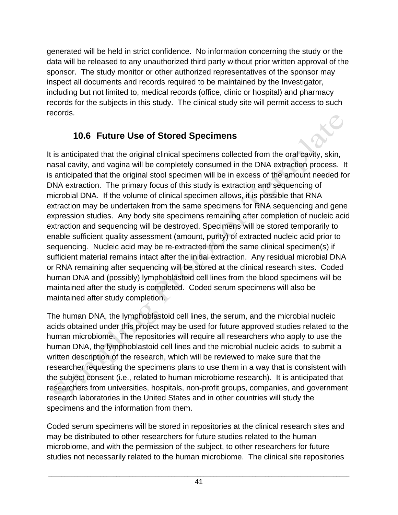generated will be held in strict confidence. No information concerning the study or the data will be released to any unauthorized third party without prior written approval of the sponsor. The study monitor or other authorized representatives of the sponsor may inspect all documents and records required to be maintained by the Investigator, including but not limited to, medical records (office, clinic or hospital) and pharmacy records for the subjects in this study. The clinical study site will permit access to such records.

#### **10.6 Future Use of Stored Specimens**

It is anticipated that the original clinical specimens collected from the oral cavity, skin, nasal cavity, and vagina will be completely consumed in the DNA extraction process. It is anticipated that the original stool specimen will be in excess of the amount needed for DNA extraction. The primary focus of this study is extraction and sequencing of microbial DNA. If the volume of clinical specimen allows, it is possible that RNA extraction may be undertaken from the same specimens for RNA sequencing and gene expression studies. Any body site specimens remaining after completion of nucleic acid extraction and sequencing will be destroyed. Specimens will be stored temporarily to enable sufficient quality assessment (amount, purity) of extracted nucleic acid prior to sequencing. Nucleic acid may be re-extracted from the same clinical specimen(s) if sufficient material remains intact after the initial extraction. Any residual microbial DNA or RNA remaining after sequencing will be stored at the clinical research sites. Coded human DNA and (possibly) lymphoblastoid cell lines from the blood specimens will be maintained after the study is completed. Coded serum specimens will also be maintained after study completion.

The human DNA, the lymphoblastoid cell lines, the serum, and the microbial nucleic acids obtained under this project may be used for future approved studies related to the human microbiome. The repositories will require all researchers who apply to use the human DNA, the lymphoblastoid cell lines and the microbial nucleic acids to submit a written description of the research, which will be reviewed to make sure that the researcher requesting the specimens plans to use them in a way that is consistent with the subject consent (i.e., related to human microbiome research). It is anticipated that researchers from universities, hospitals, non-profit groups, companies, and government research laboratories in the United States and in other countries will study the specimens and the information from them.

Coded serum specimens will be stored in repositories at the clinical research sites and may be distributed to other researchers for future studies related to the human microbiome, and with the permission of the subject, to other researchers for future studies not necessarily related to the human microbiome. The clinical site repositories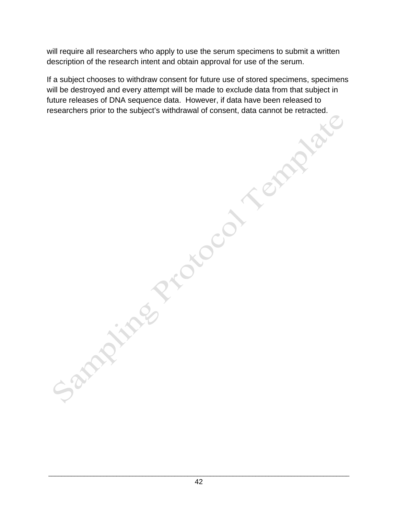will require all researchers who apply to use the serum specimens to submit a written description of the research intent and obtain approval for use of the serum.

If a subject chooses to withdraw consent for future use of stored specimens, specimens will be destroyed and every attempt will be made to exclude data from that subject in future releases of DNA sequence data. However, if data have been released to researchers prior to the subject's withdrawal of consent, data cannot be retracted.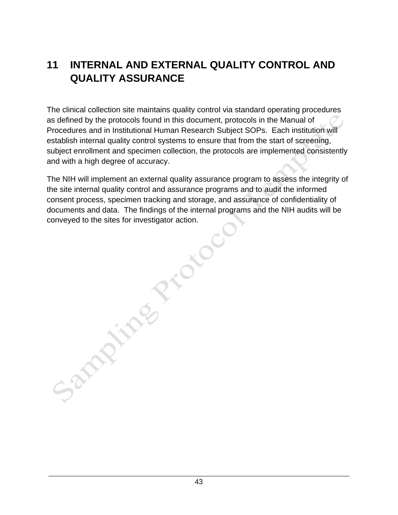# **11 INTERNAL AND EXTERNAL QUALITY CONTROL AND QUALITY ASSURANCE**

The clinical collection site maintains quality control via standard operating procedures as defined by the protocols found in this document, protocols in the Manual of Procedures and in Institutional Human Research Subject SOPs. Each institution will establish internal quality control systems to ensure that from the start of screening, subject enrollment and specimen collection, the protocols are implemented consistently and with a high degree of accuracy.

The NIH will implement an external quality assurance program to assess the integrity of the site internal quality control and assurance programs and to audit the informed consent process, specimen tracking and storage, and assurance of confidentiality of documents and data. The findings of the internal programs and the NIH audits will be conveyed to the sites for investigator action.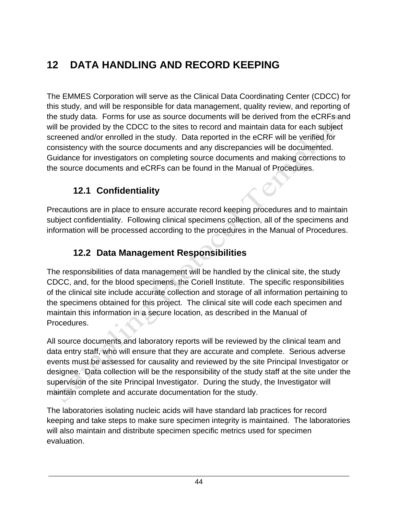# **12 DATA HANDLING AND RECORD KEEPING**

The EMMES Corporation will serve as the Clinical Data Coordinating Center (CDCC) for this study, and will be responsible for data management, quality review, and reporting of the study data. Forms for use as source documents will be derived from the eCRFs and will be provided by the CDCC to the sites to record and maintain data for each subject screened and/or enrolled in the study. Data reported in the eCRF will be verified for consistency with the source documents and any discrepancies will be documented. Guidance for investigators on completing source documents and making corrections to the source documents and eCRFs can be found in the Manual of Procedures.

#### **12.1 Confidentiality**

Precautions are in place to ensure accurate record keeping procedures and to maintain subject confidentiality. Following clinical specimens collection, all of the specimens and information will be processed according to the procedures in the Manual of Procedures.

#### **12.2 Data Management Responsibilities**

The responsibilities of data management will be handled by the clinical site, the study CDCC, and, for the blood specimens, the Coriell Institute. The specific responsibilities of the clinical site include accurate collection and storage of all information pertaining to the specimens obtained for this project. The clinical site will code each specimen and maintain this information in a secure location, as described in the Manual of Procedures.

All source documents and laboratory reports will be reviewed by the clinical team and data entry staff, who will ensure that they are accurate and complete. Serious adverse events must be assessed for causality and reviewed by the site Principal Investigator or designee. Data collection will be the responsibility of the study staff at the site under the supervision of the site Principal Investigator. During the study, the Investigator will maintain complete and accurate documentation for the study.

The laboratories isolating nucleic acids will have standard lab practices for record keeping and take steps to make sure specimen integrity is maintained. The laboratories will also maintain and distribute specimen specific metrics used for specimen evaluation.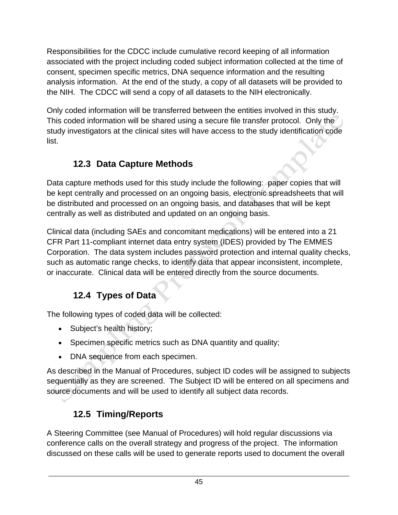Responsibilities for the CDCC include cumulative record keeping of all information associated with the project including coded subject information collected at the time of consent, specimen specific metrics, DNA sequence information and the resulting analysis information. At the end of the study, a copy of all datasets will be provided to the NIH. The CDCC will send a copy of all datasets to the NIH electronically.

Only coded information will be transferred between the entities involved in this study. This coded information will be shared using a secure file transfer protocol. Only the study investigators at the clinical sites will have access to the study identification code list.

## **12.3 Data Capture Methods**

Data capture methods used for this study include the following: paper copies that will be kept centrally and processed on an ongoing basis, electronic spreadsheets that will be distributed and processed on an ongoing basis, and databases that will be kept centrally as well as distributed and updated on an ongoing basis.

Clinical data (including SAEs and concomitant medications) will be entered into a 21 CFR Part 11-compliant internet data entry system (IDES) provided by The EMMES Corporation. The data system includes password protection and internal quality checks, such as automatic range checks, to identify data that appear inconsistent, incomplete, or inaccurate. Clinical data will be entered directly from the source documents.

## **12.4 Types of Data**

The following types of coded data will be collected:

- Subject's health history;
- Specimen specific metrics such as DNA quantity and quality;
- DNA sequence from each specimen.

As described in the Manual of Procedures, subject ID codes will be assigned to subjects sequentially as they are screened. The Subject ID will be entered on all specimens and source documents and will be used to identify all subject data records.

# **12.5 Timing/Reports**

A Steering Committee (see Manual of Procedures) will hold regular discussions via conference calls on the overall strategy and progress of the project. The information discussed on these calls will be used to generate reports used to document the overall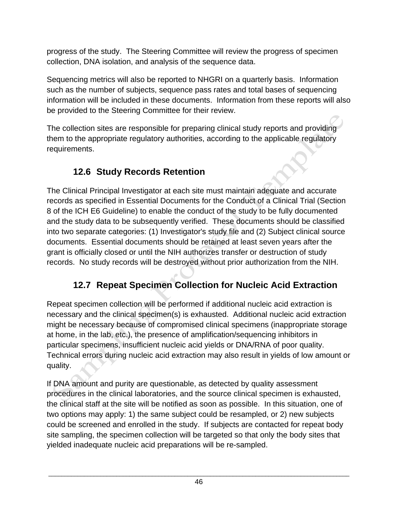progress of the study. The Steering Committee will review the progress of specimen collection, DNA isolation, and analysis of the sequence data.

Sequencing metrics will also be reported to NHGRI on a quarterly basis. Information such as the number of subjects, sequence pass rates and total bases of sequencing information will be included in these documents. Information from these reports will also be provided to the Steering Committee for their review.

The collection sites are responsible for preparing clinical study reports and providing them to the appropriate regulatory authorities, according to the applicable regulatory requirements.

## **12.6 Study Records Retention**

The Clinical Principal Investigator at each site must maintain adequate and accurate records as specified in Essential Documents for the Conduct of a Clinical Trial (Section 8 of the ICH E6 Guideline) to enable the conduct of the study to be fully documented and the study data to be subsequently verified. These documents should be classified into two separate categories: (1) Investigator's study file and (2) Subject clinical source documents. Essential documents should be retained at least seven years after the grant is officially closed or until the NIH authorizes transfer or destruction of study records. No study records will be destroyed without prior authorization from the NIH.

# **12.7 Repeat Specimen Collection for Nucleic Acid Extraction**

Repeat specimen collection will be performed if additional nucleic acid extraction is necessary and the clinical specimen(s) is exhausted. Additional nucleic acid extraction might be necessary because of compromised clinical specimens (inappropriate storage at home, in the lab, etc.), the presence of amplification/sequencing inhibitors in particular specimens, insufficient nucleic acid yields or DNA/RNA of poor quality. Technical errors during nucleic acid extraction may also result in yields of low amount or quality.

If DNA amount and purity are questionable, as detected by quality assessment procedures in the clinical laboratories, and the source clinical specimen is exhausted, the clinical staff at the site will be notified as soon as possible. In this situation, one of two options may apply: 1) the same subject could be resampled, or 2) new subjects could be screened and enrolled in the study. If subjects are contacted for repeat body site sampling, the specimen collection will be targeted so that only the body sites that yielded inadequate nucleic acid preparations will be re-sampled.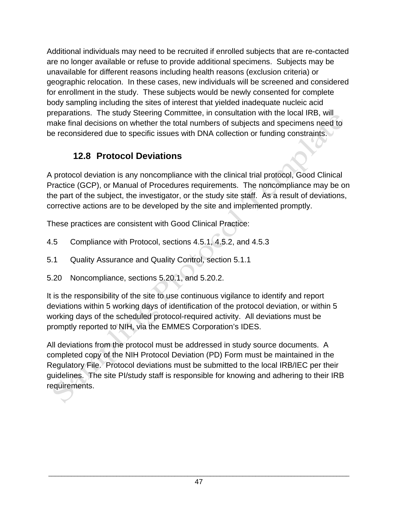Additional individuals may need to be recruited if enrolled subjects that are re-contacted are no longer available or refuse to provide additional specimens. Subjects may be unavailable for different reasons including health reasons (exclusion criteria) or geographic relocation. In these cases, new individuals will be screened and considered for enrollment in the study. These subjects would be newly consented for complete body sampling including the sites of interest that yielded inadequate nucleic acid preparations. The study Steering Committee, in consultation with the local IRB, will make final decisions on whether the total numbers of subjects and specimens need to be reconsidered due to specific issues with DNA collection or funding constraints.

#### **12.8 Protocol Deviations**

A protocol deviation is any noncompliance with the clinical trial protocol, Good Clinical Practice (GCP), or Manual of Procedures requirements. The noncompliance may be on the part of the subject, the investigator, or the study site staff. As a result of deviations, corrective actions are to be developed by the site and implemented promptly.

These practices are consistent with Good Clinical Practice:

- 4.5 Compliance with Protocol, sections 4.5.1, 4.5.2, and 4.5.3
- 5.1 Quality Assurance and Quality Control, section 5.1.1
- 5.20 Noncompliance, sections 5.20.1, and 5.20.2.

It is the responsibility of the site to use continuous vigilance to identify and report deviations within 5 working days of identification of the protocol deviation, or within 5 working days of the scheduled protocol-required activity. All deviations must be promptly reported to NIH, via the EMMES Corporation's IDES.

All deviations from the protocol must be addressed in study source documents. A completed copy of the NIH Protocol Deviation (PD) Form must be maintained in the Regulatory File. Protocol deviations must be submitted to the local IRB/IEC per their guidelines. The site PI/study staff is responsible for knowing and adhering to their IRB requirements.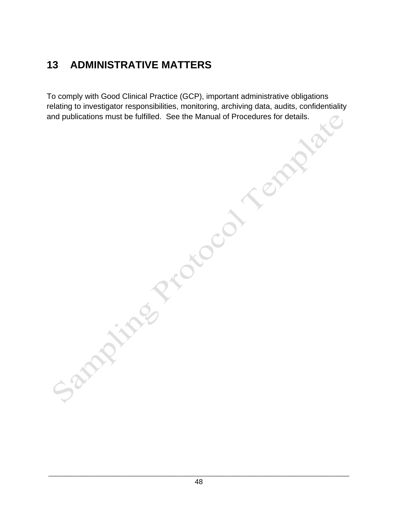# **13 ADMINISTRATIVE MATTERS**

To comply with Good Clinical Practice (GCP), important administrative obligations relating to investigator responsibilities, monitoring, archiving data, audits, confidentiality and publications must be fulfilled. See the Manual of Procedures for details.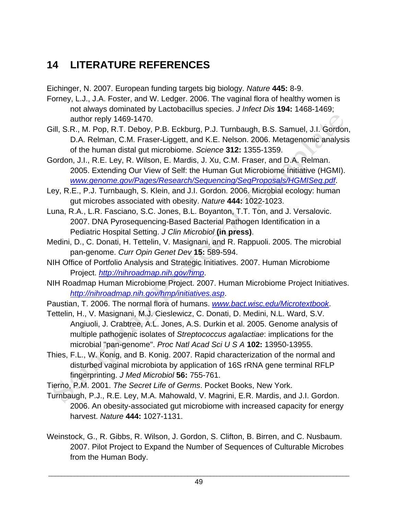# **14 LITERATURE REFERENCES**

Eichinger, N. 2007. European funding targets big biology. *Nature* **445:** 8-9.

- Forney, L.J., J.A. Foster, and W. Ledger. 2006. The vaginal flora of healthy women is not always dominated by Lactobacillus species. *J Infect Dis* **194:** 1468-1469; author reply 1469-1470.
- Gill, S.R., M. Pop, R.T. Deboy, P.B. Eckburg, P.J. Turnbaugh, B.S. Samuel, J.I. Gordon, D.A. Relman, C.M. Fraser-Liggett, and K.E. Nelson. 2006. Metagenomic analysis of the human distal gut microbiome. *Science* **312:** 1355-1359.
- Gordon, J.I., R.E. Ley, R. Wilson, E. Mardis, J. Xu, C.M. Fraser, and D.A. Relman. 2005. Extending Our View of Self: the Human Gut Microbiome Initiative (HGMI). *www.genome.gov/Pages/Research/Sequencing/SeqProposals/HGMISeq.pdf*.
- Ley, R.E., P.J. Turnbaugh, S. Klein, and J.I. Gordon. 2006. Microbial ecology: human gut microbes associated with obesity. *Nature* **444:** 1022-1023.
- Luna, R.A., L.R. Fasciano, S.C. Jones, B.L. Boyanton, T.T. Ton, and J. Versalovic. 2007. DNA Pyrosequencing-Based Bacterial Pathogen Identification in a Pediatric Hospital Setting. *J Clin Microbiol* **(in press)**.
- Medini, D., C. Donati, H. Tettelin, V. Masignani, and R. Rappuoli. 2005. The microbial pan-genome. *Curr Opin Genet Dev* **15:** 589-594.
- NIH Office of Portfolio Analysis and Strategic Initiatives. 2007. Human Microbiome Project. *http://nihroadmap.nih.gov/hmp*.
- NIH Roadmap Human Microbiome Project. 2007. Human Microbiome Project Initiatives. *http://nihroadmap.nih.gov/hmp/initiatives.asp*.
- Paustian, T. 2006. The normal flora of humans. *www.bact.wisc.edu/Microtextbook*.
- Tettelin, H., V. Masignani, M.J. Cieslewicz, C. Donati, D. Medini, N.L. Ward, S.V. Angiuoli, J. Crabtree, A.L. Jones, A.S. Durkin et al. 2005. Genome analysis of multiple pathogenic isolates of *Streptococcus agalactiae*: implications for the microbial "pan-genome". *Proc Natl Acad Sci U S A* **102:** 13950-13955.
- Thies, F.L., W. Konig, and B. Konig. 2007. Rapid characterization of the normal and disturbed vaginal microbiota by application of 16S rRNA gene terminal RFLP fingerprinting. *J Med Microbiol* **56:** 755-761.
- Tierno, P.M. 2001. *The Secret Life of Germs*. Pocket Books, New York.
- Turnbaugh, P.J., R.E. Ley, M.A. Mahowald, V. Magrini, E.R. Mardis, and J.I. Gordon. 2006. An obesity-associated gut microbiome with increased capacity for energy harvest. *Nature* **444:** 1027-1131.
- Weinstock, G., R. Gibbs, R. Wilson, J. Gordon, S. Clifton, B. Birren, and C. Nusbaum. 2007. Pilot Project to Expand the Number of Sequences of Culturable Microbes from the Human Body.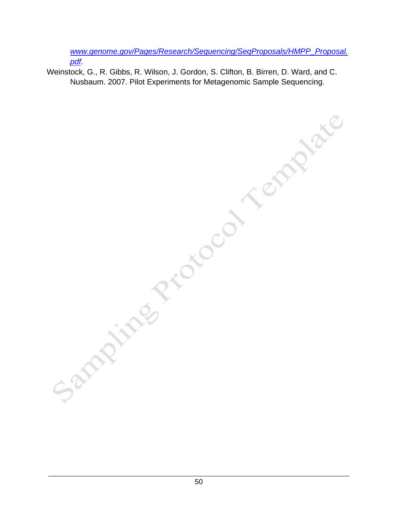*www.genome.gov/Pages/Research/Sequencing/SeqProposals/HMPP\_Proposal. pdf*.

Weinstock, G., R. Gibbs, R. Wilson, J. Gordon, S. Clifton, B. Birren, D. Ward, and C. Nusbaum. 2007. Pilot Experiments for Metagenomic Sample Sequencing.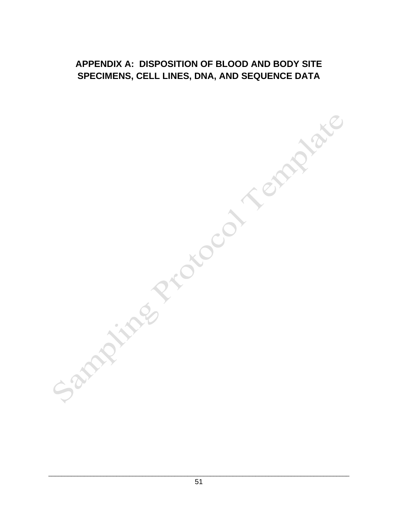#### **APPENDIX A: DISPOSITION OF BLOOD AND BODY SITE SPECIMENS, CELL LINES, DNA, AND SEQUENCE DATA**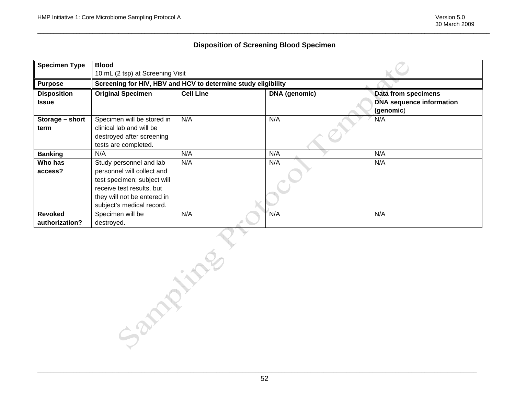#### **Disposition of Screening Blood Specimen**

| <b>Specimen Type</b> | <b>Blood</b>                                                  |                  |                      |                                 |
|----------------------|---------------------------------------------------------------|------------------|----------------------|---------------------------------|
|                      | 10 mL (2 tsp) at Screening Visit                              |                  |                      |                                 |
| <b>Purpose</b>       | Screening for HIV, HBV and HCV to determine study eligibility |                  |                      |                                 |
| <b>Disposition</b>   | <b>Original Specimen</b>                                      | <b>Cell Line</b> | <b>DNA</b> (genomic) | Data from specimens             |
| <b>Issue</b>         |                                                               |                  |                      | <b>DNA</b> sequence information |
|                      |                                                               |                  |                      | (genomic)                       |
| Storage - short      | Specimen will be stored in                                    | N/A              | N/A                  | N/A                             |
| term                 | clinical lab and will be                                      |                  |                      |                                 |
|                      | destroyed after screening                                     |                  |                      |                                 |
|                      | tests are completed.                                          |                  |                      |                                 |
| <b>Banking</b>       | N/A                                                           | N/A              | N/A                  | N/A                             |
| Who has              | Study personnel and lab                                       | N/A              | N/A                  | N/A                             |
| access?              | personnel will collect and                                    |                  |                      |                                 |
|                      | test specimen; subject will                                   |                  |                      |                                 |
|                      | receive test results, but                                     |                  |                      |                                 |
|                      | they will not be entered in                                   |                  |                      |                                 |
|                      | subject's medical record.                                     |                  |                      |                                 |
| <b>Revoked</b>       | Specimen will be                                              | N/A              | N/A                  | N/A                             |
| authorization?       | destroyed.                                                    |                  |                      |                                 |
| Sandy Line           |                                                               |                  |                      |                                 |

\_\_\_\_\_\_\_\_\_\_\_\_\_\_\_\_\_\_\_\_\_\_\_\_\_\_\_\_\_\_\_\_\_\_\_\_\_\_\_\_\_\_\_\_\_\_\_\_\_\_\_\_\_\_\_\_\_\_\_\_\_\_\_\_\_\_\_\_\_\_\_\_\_\_\_\_\_\_\_\_\_\_\_\_\_\_\_\_\_\_\_\_\_\_\_\_\_\_\_\_\_\_\_\_\_\_\_\_\_\_\_\_\_\_\_\_\_\_\_\_\_\_\_\_\_\_\_\_\_\_\_\_\_\_\_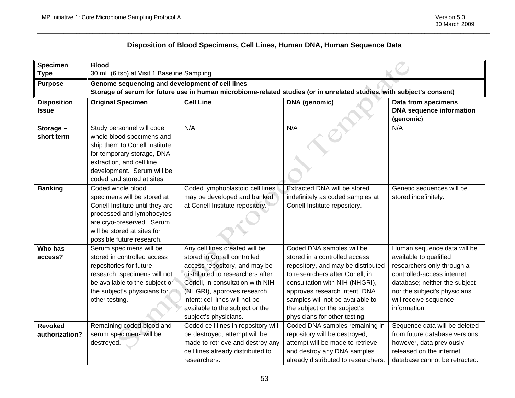#### **Disposition of Blood Specimens, Cell Lines, Human DNA, Human Sequence Data**

| <b>Specimen</b>                    | <b>Blood</b>                                                                                                                                                                                                    |                                                                                                                                                                                                                                                                                                      |                                                                                                                                                                                                                                                                                                              |                                                                                                                                                                                                                             |
|------------------------------------|-----------------------------------------------------------------------------------------------------------------------------------------------------------------------------------------------------------------|------------------------------------------------------------------------------------------------------------------------------------------------------------------------------------------------------------------------------------------------------------------------------------------------------|--------------------------------------------------------------------------------------------------------------------------------------------------------------------------------------------------------------------------------------------------------------------------------------------------------------|-----------------------------------------------------------------------------------------------------------------------------------------------------------------------------------------------------------------------------|
| <b>Type</b>                        | 30 mL (6 tsp) at Visit 1 Baseline Sampling                                                                                                                                                                      |                                                                                                                                                                                                                                                                                                      |                                                                                                                                                                                                                                                                                                              |                                                                                                                                                                                                                             |
| <b>Purpose</b>                     | Genome sequencing and development of cell lines                                                                                                                                                                 |                                                                                                                                                                                                                                                                                                      |                                                                                                                                                                                                                                                                                                              |                                                                                                                                                                                                                             |
|                                    |                                                                                                                                                                                                                 |                                                                                                                                                                                                                                                                                                      | Storage of serum for future use in human microbiome-related studies (or in unrelated studies, with subject's consent)                                                                                                                                                                                        |                                                                                                                                                                                                                             |
| <b>Disposition</b><br><b>Issue</b> | <b>Original Specimen</b>                                                                                                                                                                                        | <b>Cell Line</b>                                                                                                                                                                                                                                                                                     | <b>DNA</b> (genomic)                                                                                                                                                                                                                                                                                         | Data from specimens<br><b>DNA</b> sequence information<br>(genomic)                                                                                                                                                         |
| Storage -<br>short term            | Study personnel will code<br>whole blood specimens and<br>ship them to Coriell Institute<br>for temporary storage, DNA<br>extraction, and cell line<br>development. Serum will be<br>coded and stored at sites. | N/A                                                                                                                                                                                                                                                                                                  | N/A                                                                                                                                                                                                                                                                                                          | N/A                                                                                                                                                                                                                         |
| <b>Banking</b>                     | Coded whole blood<br>specimens will be stored at<br>Coriell Institute until they are<br>processed and lymphocytes<br>are cryo-preserved. Serum<br>will be stored at sites for<br>possible future research.      | Coded lymphoblastoid cell lines<br>may be developed and banked<br>at Coriell Institute repository.                                                                                                                                                                                                   | <b>Extracted DNA will be stored</b><br>indefinitely as coded samples at<br>Coriell Institute repository.                                                                                                                                                                                                     | Genetic sequences will be<br>stored indefinitely.                                                                                                                                                                           |
| Who has<br>access?                 | Serum specimens will be<br>stored in controlled access<br>repositories for future<br>research; specimens will not<br>be available to the subject or<br>the subject's physicians for<br>other testing.           | Any cell lines created will be<br>stored in Coriell controlled<br>access repository, and may be<br>distributed to researchers after<br>Coriell, in consultation with NIH<br>(NHGRI), approves research<br>intent; cell lines will not be<br>available to the subject or the<br>subject's physicians. | Coded DNA samples will be<br>stored in a controlled access<br>repository, and may be distributed<br>to researchers after Coriell, in<br>consultation with NIH (NHGRI),<br>approves research intent; DNA<br>samples will not be available to<br>the subject or the subject's<br>physicians for other testing. | Human sequence data will be<br>available to qualified<br>researchers only through a<br>controlled-access internet<br>database; neither the subject<br>nor the subject's physicians<br>will receive sequence<br>information. |
| <b>Revoked</b><br>authorization?   | Remaining coded blood and<br>serum specimens will be<br>destroyed.                                                                                                                                              | Coded cell lines in repository will<br>be destroyed; attempt will be<br>made to retrieve and destroy any<br>cell lines already distributed to<br>researchers.                                                                                                                                        | Coded DNA samples remaining in<br>repository will be destroyed;<br>attempt will be made to retrieve<br>and destroy any DNA samples<br>already distributed to researchers.                                                                                                                                    | Sequence data will be deleted<br>from future database versions;<br>however, data previously<br>released on the internet<br>database cannot be retracted.                                                                    |

\_\_\_\_\_\_\_\_\_\_\_\_\_\_\_\_\_\_\_\_\_\_\_\_\_\_\_\_\_\_\_\_\_\_\_\_\_\_\_\_\_\_\_\_\_\_\_\_\_\_\_\_\_\_\_\_\_\_\_\_\_\_\_\_\_\_\_\_\_\_\_\_\_\_\_\_\_\_\_\_\_\_\_\_\_\_\_\_\_\_\_\_\_\_\_\_\_\_\_\_\_\_\_\_\_\_\_\_\_\_\_\_\_\_\_\_\_\_\_\_\_\_\_\_\_\_\_\_\_\_\_\_\_\_\_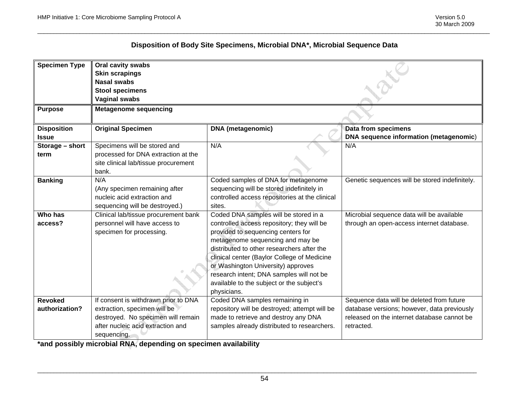#### **Disposition of Body Site Specimens, Microbial DNA\*, Microbial Sequence Data**

| <b>Specimen Type</b> | Oral cavity swabs                    |                                                |                                                |
|----------------------|--------------------------------------|------------------------------------------------|------------------------------------------------|
|                      | <b>Skin scrapings</b>                |                                                |                                                |
|                      | <b>Nasal swabs</b>                   |                                                |                                                |
|                      | <b>Stool specimens</b>               |                                                |                                                |
|                      | <b>Vaginal swabs</b>                 |                                                |                                                |
| <b>Purpose</b>       | <b>Metagenome sequencing</b>         |                                                |                                                |
|                      |                                      |                                                |                                                |
| <b>Disposition</b>   | <b>Original Specimen</b>             | <b>DNA</b> (metagenomic)                       | Data from specimens                            |
| <b>Issue</b>         |                                      |                                                | DNA sequence information (metagenomic)         |
| Storage - short      | Specimens will be stored and         | N/A                                            | N/A                                            |
| term                 | processed for DNA extraction at the  |                                                |                                                |
|                      | site clinical lab/tissue procurement |                                                |                                                |
|                      | bank.                                |                                                |                                                |
| <b>Banking</b>       | N/A                                  | Coded samples of DNA for metagenome            | Genetic sequences will be stored indefinitely. |
|                      | (Any specimen remaining after        | sequencing will be stored indefinitely in      |                                                |
|                      | nucleic acid extraction and          | controlled access repositories at the clinical |                                                |
|                      | sequencing will be destroyed.)       | sites.                                         |                                                |
| Who has              | Clinical lab/tissue procurement bank | Coded DNA samples will be stored in a          | Microbial sequence data will be available      |
| access?              | personnel will have access to        | controlled access repository; they will be     | through an open-access internet database.      |
|                      | specimen for processing.             | provided to sequencing centers for             |                                                |
|                      |                                      | metagenome sequencing and may be               |                                                |
|                      |                                      | distributed to other researchers after the     |                                                |
|                      |                                      | clinical center (Baylor College of Medicine    |                                                |
|                      |                                      | or Washington University) approves             |                                                |
|                      |                                      | research intent; DNA samples will not be       |                                                |
|                      |                                      | available to the subject or the subject's      |                                                |
|                      |                                      | physicians.                                    |                                                |
| <b>Revoked</b>       | If consent is withdrawn prior to DNA | Coded DNA samples remaining in                 | Sequence data will be deleted from future      |
| authorization?       | extraction, specimen will be         | repository will be destroyed; attempt will be  | database versions; however, data previously    |
|                      | destroyed. No specimen will remain   | made to retrieve and destroy any DNA           | released on the internet database cannot be    |
|                      | after nucleic acid extraction and    | samples already distributed to researchers.    | retracted.                                     |
|                      | sequencing.                          |                                                |                                                |

**\*and possibly microbial RNA, depending on specimen availability** 

\_\_\_\_\_\_\_\_\_\_\_\_\_\_\_\_\_\_\_\_\_\_\_\_\_\_\_\_\_\_\_\_\_\_\_\_\_\_\_\_\_\_\_\_\_\_\_\_\_\_\_\_\_\_\_\_\_\_\_\_\_\_\_\_\_\_\_\_\_\_\_\_\_\_\_\_\_\_\_\_\_\_\_\_\_\_\_\_\_\_\_\_\_\_\_\_\_\_\_\_\_\_\_\_\_\_\_\_\_\_\_\_\_\_\_\_\_\_\_\_\_\_\_\_\_\_\_\_\_\_\_\_\_\_\_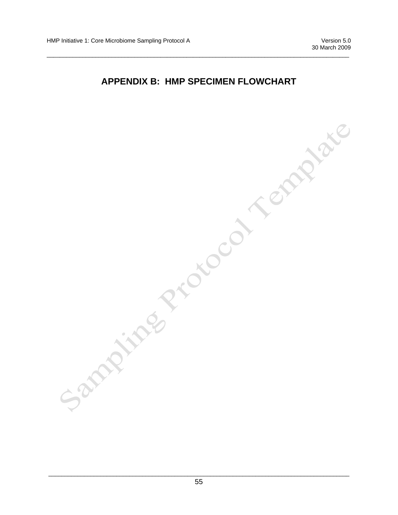#### **APPENDIX B: HMP SPECIMEN FLOWCHART**

 $\overline{a}$  , and the state of the state of the state of the state of the state of the state of the state of the state of the state of the state of the state of the state of the state of the state of the state of the state o

| Sampling Protocol Templat |  |  |
|---------------------------|--|--|